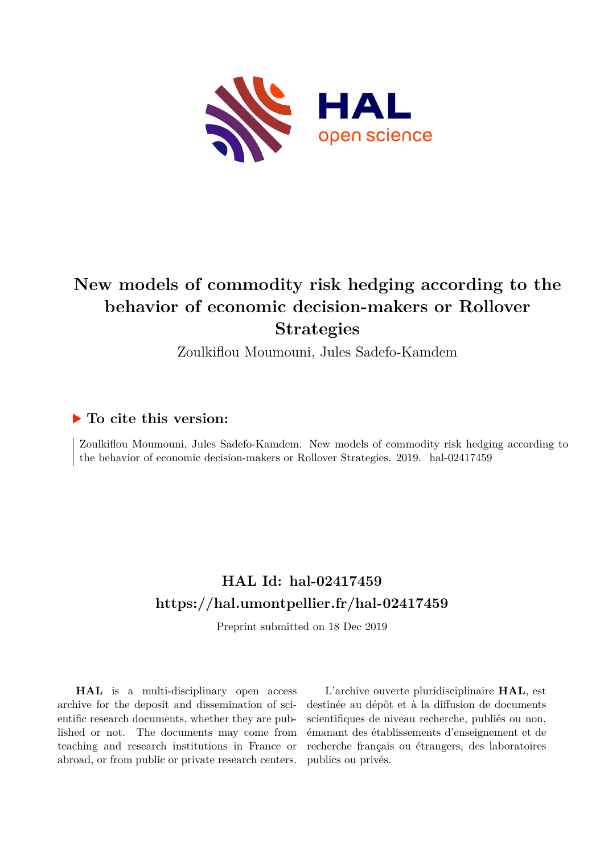

# **New models of commodity risk hedging according to the behavior of economic decision-makers or Rollover Strategies**

Zoulkiflou Moumouni, Jules Sadefo-Kamdem

# **To cite this version:**

Zoulkiflou Moumouni, Jules Sadefo-Kamdem. New models of commodity risk hedging according to the behavior of economic decision-makers or Rollover Strategies. 2019. hal-02417459

# **HAL Id: hal-02417459 <https://hal.umontpellier.fr/hal-02417459>**

Preprint submitted on 18 Dec 2019

**HAL** is a multi-disciplinary open access archive for the deposit and dissemination of scientific research documents, whether they are published or not. The documents may come from teaching and research institutions in France or abroad, or from public or private research centers.

L'archive ouverte pluridisciplinaire **HAL**, est destinée au dépôt et à la diffusion de documents scientifiques de niveau recherche, publiés ou non, émanant des établissements d'enseignement et de recherche français ou étrangers, des laboratoires publics ou privés.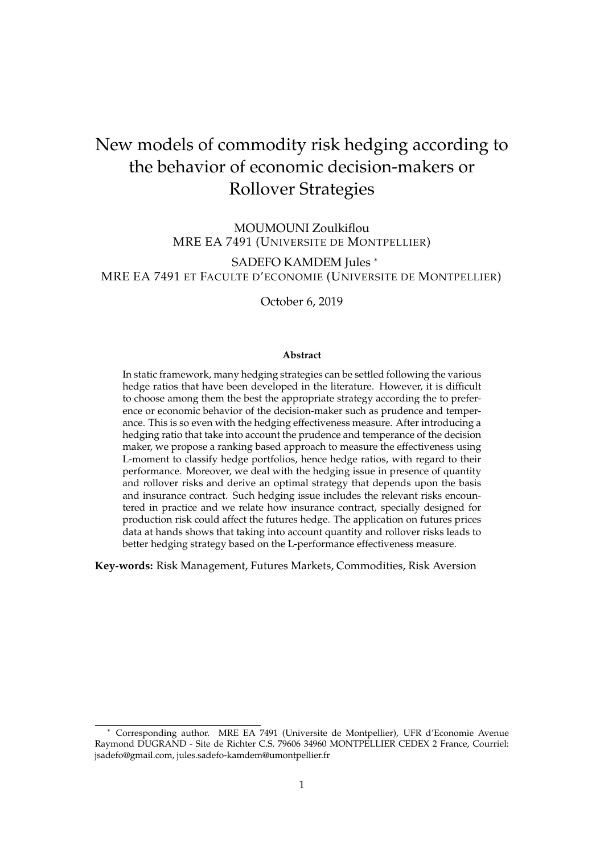# New models of commodity risk hedging according to the behavior of economic decision-makers or Rollover Strategies

MOUMOUNI Zoulkiflou MRE EA 7491 (UNIVERSITE DE MONTPELLIER)

SADEFO KAMDEM Jules <sup>\*</sup> MRE EA 7491 ET FACULTE D'ECONOMIE (UNIVERSITE DE MONTPELLIER)

October 6, 2019

#### **Abstract**

In static framework, many hedging strategies can be settled following the various hedge ratios that have been developed in the literature. However, it is difficult to choose among them the best the appropriate strategy according the to preference or economic behavior of the decision-maker such as prudence and temperance. This is so even with the hedging effectiveness measure. After introducing a hedging ratio that take into account the prudence and temperance of the decision maker, we propose a ranking based approach to measure the effectiveness using L-moment to classify hedge portfolios, hence hedge ratios, with regard to their performance. Moreover, we deal with the hedging issue in presence of quantity and rollover risks and derive an optimal strategy that depends upon the basis and insurance contract. Such hedging issue includes the relevant risks encountered in practice and we relate how insurance contract, specially designed for production risk could affect the futures hedge. The application on futures prices data at hands shows that taking into account quantity and rollover risks leads to better hedging strategy based on the L-performance effectiveness measure.

**Key-words:** Risk Management, Futures Markets, Commodities, Risk Aversion

<sup>∗</sup> Corresponding author. MRE EA 7491 (Universite de Montpellier), UFR d'Economie Avenue Raymond DUGRAND - Site de Richter C.S. 79606 34960 MONTPELLIER CEDEX 2 France, Courriel: jsadefo@gmail.com, jules.sadefo-kamdem@umontpellier.fr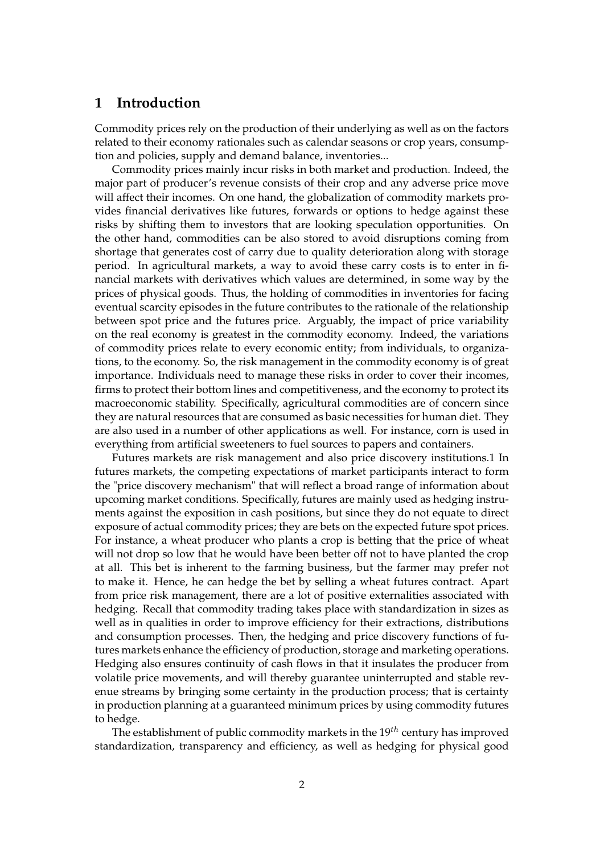## **1 Introduction**

Commodity prices rely on the production of their underlying as well as on the factors related to their economy rationales such as calendar seasons or crop years, consumption and policies, supply and demand balance, inventories...

Commodity prices mainly incur risks in both market and production. Indeed, the major part of producer's revenue consists of their crop and any adverse price move will affect their incomes. On one hand, the globalization of commodity markets provides financial derivatives like futures, forwards or options to hedge against these risks by shifting them to investors that are looking speculation opportunities. On the other hand, commodities can be also stored to avoid disruptions coming from shortage that generates cost of carry due to quality deterioration along with storage period. In agricultural markets, a way to avoid these carry costs is to enter in financial markets with derivatives which values are determined, in some way by the prices of physical goods. Thus, the holding of commodities in inventories for facing eventual scarcity episodes in the future contributes to the rationale of the relationship between spot price and the futures price. Arguably, the impact of price variability on the real economy is greatest in the commodity economy. Indeed, the variations of commodity prices relate to every economic entity; from individuals, to organizations, to the economy. So, the risk management in the commodity economy is of great importance. Individuals need to manage these risks in order to cover their incomes, firms to protect their bottom lines and competitiveness, and the economy to protect its macroeconomic stability. Specifically, agricultural commodities are of concern since they are natural resources that are consumed as basic necessities for human diet. They are also used in a number of other applications as well. For instance, corn is used in everything from artificial sweeteners to fuel sources to papers and containers.

Futures markets are risk management and also price discovery institutions.1 In futures markets, the competing expectations of market participants interact to form the "price discovery mechanism" that will reflect a broad range of information about upcoming market conditions. Specifically, futures are mainly used as hedging instruments against the exposition in cash positions, but since they do not equate to direct exposure of actual commodity prices; they are bets on the expected future spot prices. For instance, a wheat producer who plants a crop is betting that the price of wheat will not drop so low that he would have been better off not to have planted the crop at all. This bet is inherent to the farming business, but the farmer may prefer not to make it. Hence, he can hedge the bet by selling a wheat futures contract. Apart from price risk management, there are a lot of positive externalities associated with hedging. Recall that commodity trading takes place with standardization in sizes as well as in qualities in order to improve efficiency for their extractions, distributions and consumption processes. Then, the hedging and price discovery functions of futures markets enhance the efficiency of production, storage and marketing operations. Hedging also ensures continuity of cash flows in that it insulates the producer from volatile price movements, and will thereby guarantee uninterrupted and stable revenue streams by bringing some certainty in the production process; that is certainty in production planning at a guaranteed minimum prices by using commodity futures to hedge.

The establishment of public commodity markets in the 19*th* century has improved standardization, transparency and efficiency, as well as hedging for physical good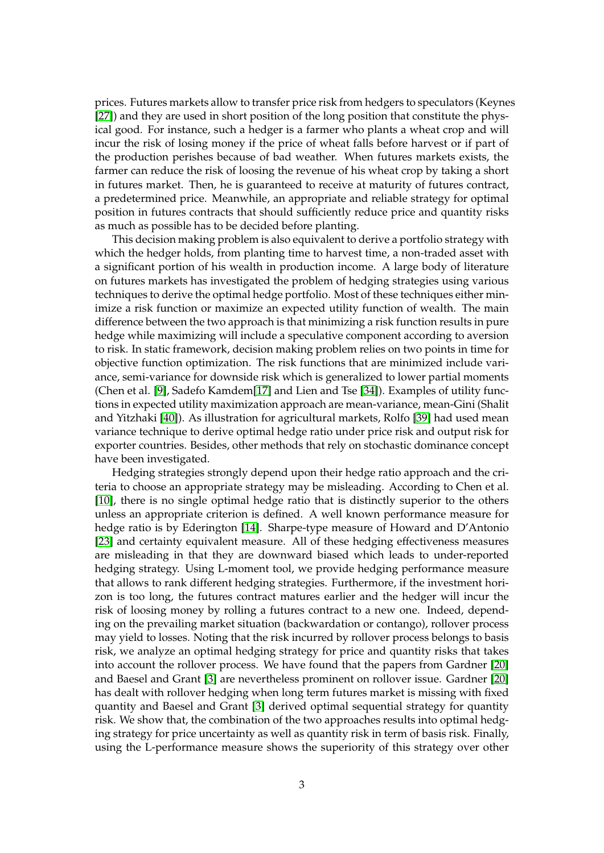prices. Futures markets allow to transfer price risk from hedgers to speculators (Keynes [27]) and they are used in short position of the long position that constitute the physical good. For instance, such a hedger is a farmer who plants a wheat crop and will incur the risk of losing money if the price of wheat falls before harvest or if part of the production perishes because of bad weather. When futures markets exists, the farmer can reduce the risk of loosing the revenue of his wheat crop by taking a short in futures market. Then, he is guaranteed to receive at maturity of futures contract, a predetermined price. Meanwhile, an appropriate and reliable strategy for optimal position in futures contracts that should sufficiently reduce price and quantity risks as much as possible has to be decided before planting.

This decision making problem is also equivalent to derive a portfolio strategy with which the hedger holds, from planting time to harvest time, a non-traded asset with a significant portion of his wealth in production income. A large body of literature on futures markets has investigated the problem of hedging strategies using various techniques to derive the optimal hedge portfolio. Most of these techniques either minimize a risk function or maximize an expected utility function of wealth. The main difference between the two approach is that minimizing a risk function results in pure hedge while maximizing will include a speculative component according to aversion to risk. In static framework, decision making problem relies on two points in time for objective function optimization. The risk functions that are minimized include variance, semi-variance for downside risk which is generalized to lower partial moments (Chen et al. [9], Sadefo Kamdem[17] and Lien and Tse [34]). Examples of utility functions in expected utility maximization approach are mean-variance, mean-Gini (Shalit and Yitzhaki [40]). As illustration for agricultural markets, Rolfo [39] had used mean variance technique to derive optimal hedge ratio under price risk and output risk for exporter countries. Besides, other methods that rely on stochastic dominance concept have been investigated.

Hedging strategies strongly depend upon their hedge ratio approach and the criteria to choose an appropriate strategy may be misleading. According to Chen et al. [10], there is no single optimal hedge ratio that is distinctly superior to the others unless an appropriate criterion is defined. A well known performance measure for hedge ratio is by Ederington [14]. Sharpe-type measure of Howard and D'Antonio [23] and certainty equivalent measure. All of these hedging effectiveness measures are misleading in that they are downward biased which leads to under-reported hedging strategy. Using L-moment tool, we provide hedging performance measure that allows to rank different hedging strategies. Furthermore, if the investment horizon is too long, the futures contract matures earlier and the hedger will incur the risk of loosing money by rolling a futures contract to a new one. Indeed, depending on the prevailing market situation (backwardation or contango), rollover process may yield to losses. Noting that the risk incurred by rollover process belongs to basis risk, we analyze an optimal hedging strategy for price and quantity risks that takes into account the rollover process. We have found that the papers from Gardner [20] and Baesel and Grant [3] are nevertheless prominent on rollover issue. Gardner [20] has dealt with rollover hedging when long term futures market is missing with fixed quantity and Baesel and Grant [3] derived optimal sequential strategy for quantity risk. We show that, the combination of the two approaches results into optimal hedging strategy for price uncertainty as well as quantity risk in term of basis risk. Finally, using the L-performance measure shows the superiority of this strategy over other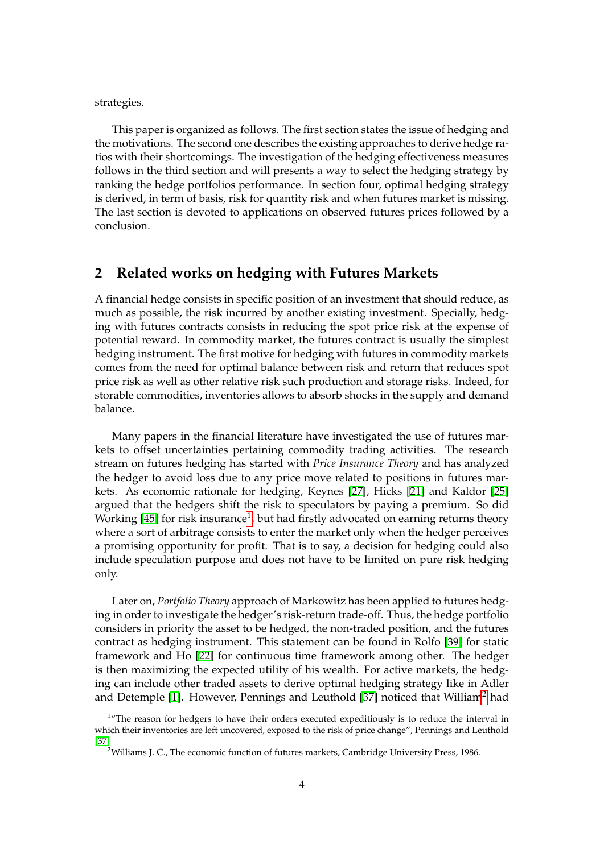strategies.

This paper is organized as follows. The first section states the issue of hedging and the motivations. The second one describes the existing approaches to derive hedge ratios with their shortcomings. The investigation of the hedging effectiveness measures follows in the third section and will presents a way to select the hedging strategy by ranking the hedge portfolios performance. In section four, optimal hedging strategy is derived, in term of basis, risk for quantity risk and when futures market is missing. The last section is devoted to applications on observed futures prices followed by a conclusion.

## **2 Related works on hedging with Futures Markets**

A financial hedge consists in specific position of an investment that should reduce, as much as possible, the risk incurred by another existing investment. Specially, hedging with futures contracts consists in reducing the spot price risk at the expense of potential reward. In commodity market, the futures contract is usually the simplest hedging instrument. The first motive for hedging with futures in commodity markets comes from the need for optimal balance between risk and return that reduces spot price risk as well as other relative risk such production and storage risks. Indeed, for storable commodities, inventories allows to absorb shocks in the supply and demand balance.

Many papers in the financial literature have investigated the use of futures markets to offset uncertainties pertaining commodity trading activities. The research stream on futures hedging has started with *Price Insurance Theory* and has analyzed the hedger to avoid loss due to any price move related to positions in futures markets. As economic rationale for hedging, Keynes [27], Hicks [21] and Kaldor [25] argued that the hedgers shift the risk to speculators by paying a premium. So did Working [45] for risk insurance $^1$ , but had firstly advocated on earning returns theory where a sort of arbitrage consists to enter the market only when the hedger perceives a promising opportunity for profit. That is to say, a decision for hedging could also include speculation purpose and does not have to be limited on pure risk hedging only.

Later on, *Portfolio Theory* approach of Markowitz has been applied to futures hedging in order to investigate the hedger's risk-return trade-off. Thus, the hedge portfolio considers in priority the asset to be hedged, the non-traded position, and the futures contract as hedging instrument. This statement can be found in Rolfo [39] for static framework and Ho [22] for continuous time framework among other. The hedger is then maximizing the expected utility of his wealth. For active markets, the hedging can include other traded assets to derive optimal hedging strategy like in Adler and Detemple  $[1]$ . However, Pennings and Leuthold  $[37]$  noticed that William<sup>2</sup> had

<sup>&</sup>lt;sup>1</sup>"The reason for hedgers to have their orders executed expeditiously is to reduce the interval in which their inventories are left uncovered, exposed to the risk of price change", Pennings and Leuthold [37]

<sup>&</sup>lt;sup>2</sup>Williams J. C., The economic function of futures markets, Cambridge University Press, 1986.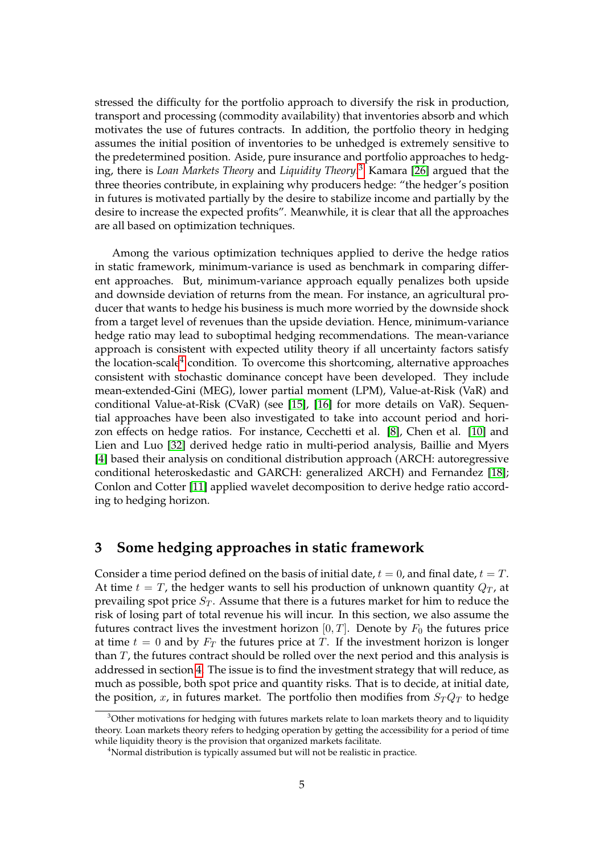stressed the difficulty for the portfolio approach to diversify the risk in production, transport and processing (commodity availability) that inventories absorb and which motivates the use of futures contracts. In addition, the portfolio theory in hedging assumes the initial position of inventories to be unhedged is extremely sensitive to the predetermined position. Aside, pure insurance and portfolio approaches to hedging, there is *Loan Markets Theory* and *Liquidity Theory*. 3 Kamara [26] argued that the three theories contribute, in explaining why producers hedge: "the hedger's position in futures is motivated partially by the desire to stabilize income and partially by the desire to increase the expected profits". Meanwhile, it is clear that all the approaches are all based on optimization techniques.

Among the various optimization techniques applied to derive the hedge ratios in static framework, minimum-variance is used as benchmark in comparing different approaches. But, minimum-variance approach equally penalizes both upside and downside deviation of returns from the mean. For instance, an agricultural producer that wants to hedge his business is much more worried by the downside shock from a target level of revenues than the upside deviation. Hence, minimum-variance hedge ratio may lead to suboptimal hedging recommendations. The mean-variance approach is consistent with expected utility theory if all uncertainty factors satisfy the location-scale<sup>4</sup> condition. To overcome this shortcoming, alternative approaches consistent with stochastic dominance concept have been developed. They include mean-extended-Gini (MEG), lower partial moment (LPM), Value-at-Risk (VaR) and conditional Value-at-Risk (CVaR) (see [15], [16] for more details on VaR). Sequential approaches have been also investigated to take into account period and horizon effects on hedge ratios. For instance, Cecchetti et al. [8], Chen et al. [10] and Lien and Luo [32] derived hedge ratio in multi-period analysis, Baillie and Myers [4] based their analysis on conditional distribution approach (ARCH: autoregressive conditional heteroskedastic and GARCH: generalized ARCH) and Fernandez [18]; Conlon and Cotter [11] applied wavelet decomposition to derive hedge ratio according to hedging horizon.

## **3 Some hedging approaches in static framework**

Consider a time period defined on the basis of initial date,  $t = 0$ , and final date,  $t = T$ . At time  $t = T$ , the hedger wants to sell his production of unknown quantity  $Q_T$ , at prevailing spot price  $S_T$ . Assume that there is a futures market for him to reduce the risk of losing part of total revenue his will incur. In this section, we also assume the futures contract lives the investment horizon  $[0, T]$ . Denote by  $F_0$  the futures price at time  $t = 0$  and by  $F_T$  the futures price at *T*. If the investment horizon is longer than *T*, the futures contract should be rolled over the next period and this analysis is addressed in section 4. The issue is to find the investment strategy that will reduce, as much as possible, both spot price and quantity risks. That is to decide, at initial date, the position,  $x$ , in futures market. The portfolio then modifies from  $S_T Q_T$  to hedge

<sup>&</sup>lt;sup>3</sup>Other motivations for hedging with futures markets relate to loan markets theory and to liquidity theory. Loan markets theory refers to hedging operation by getting the accessibility for a period of time while liquidity theory is the provision that organized markets facilitate.

<sup>&</sup>lt;sup>4</sup>Normal distribution is typically assumed but will not be realistic in practice.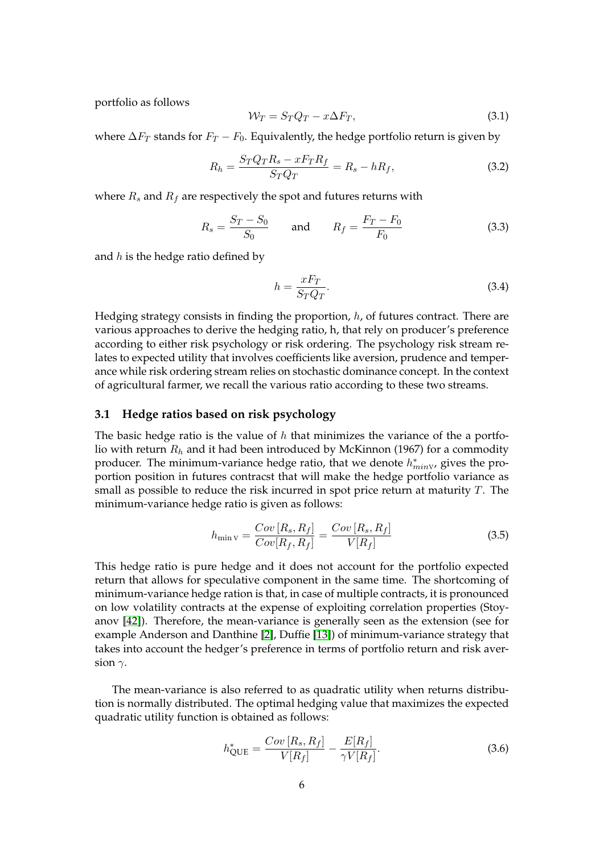portfolio as follows

$$
\mathcal{W}_T = S_T Q_T - x \Delta F_T,\tag{3.1}
$$

where  $\Delta F_T$  stands for  $F_T - F_0$ . Equivalently, the hedge portfolio return is given by

$$
R_h = \frac{S_T Q_T R_s - x F_T R_f}{S_T Q_T} = R_s - h R_f,\tag{3.2}
$$

where  $R_s$  and  $R_f$  are respectively the spot and futures returns with

$$
R_s = \frac{S_T - S_0}{S_0}
$$
 and  $R_f = \frac{F_T - F_0}{F_0}$  (3.3)

and *h* is the hedge ratio defined by

$$
h = \frac{xF_T}{S_T Q_T}.\tag{3.4}
$$

Hedging strategy consists in finding the proportion, *h*, of futures contract. There are various approaches to derive the hedging ratio, h, that rely on producer's preference according to either risk psychology or risk ordering. The psychology risk stream relates to expected utility that involves coefficients like aversion, prudence and temperance while risk ordering stream relies on stochastic dominance concept. In the context of agricultural farmer, we recall the various ratio according to these two streams.

### **3.1 Hedge ratios based on risk psychology**

The basic hedge ratio is the value of *h* that minimizes the variance of the a portfolio with return *R<sup>h</sup>* and it had been introduced by McKinnon (1967) for a commodity producer. The minimum-variance hedge ratio, that we denote  $h^*_{minV}$ , gives the proportion position in futures contracst that will make the hedge portfolio variance as small as possible to reduce the risk incurred in spot price return at maturity *T*. The minimum-variance hedge ratio is given as follows:

$$
h_{\min V} = \frac{Cov\left[R_s, R_f\right]}{Cov\left[R_f, R_f\right]} = \frac{Cov\left[R_s, R_f\right]}{V\left[R_f\right]}
$$
\n(3.5)

This hedge ratio is pure hedge and it does not account for the portfolio expected return that allows for speculative component in the same time. The shortcoming of minimum-variance hedge ration is that, in case of multiple contracts, it is pronounced on low volatility contracts at the expense of exploiting correlation properties (Stoyanov [42]). Therefore, the mean-variance is generally seen as the extension (see for example Anderson and Danthine [2], Duffie [13]) of minimum-variance strategy that takes into account the hedger's preference in terms of portfolio return and risk aversion *γ*.

The mean-variance is also referred to as quadratic utility when returns distribution is normally distributed. The optimal hedging value that maximizes the expected quadratic utility function is obtained as follows:

$$
h_{\text{QUE}}^{*} = \frac{Cov[R_{s}, R_{f}]}{V[R_{f}]} - \frac{E[R_{f}]}{\gamma V[R_{f}]}.
$$
\n(3.6)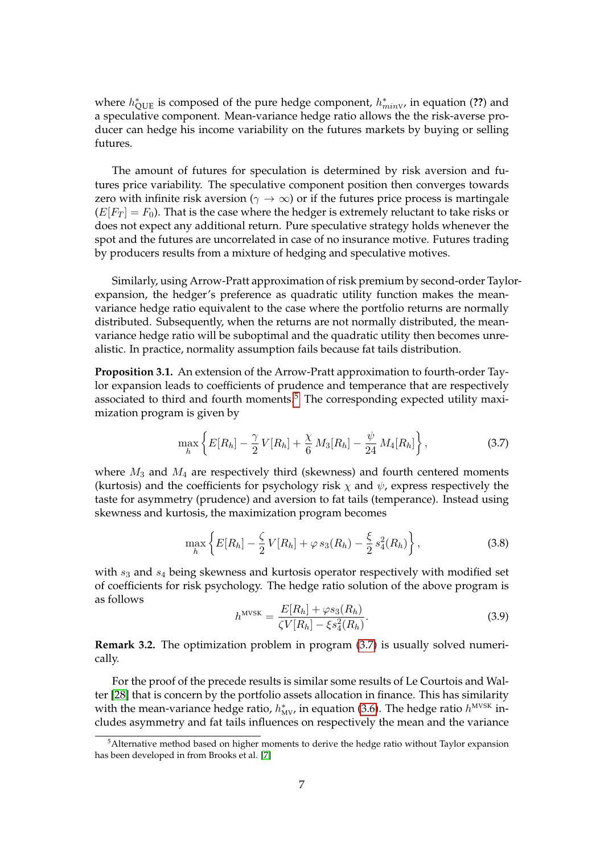where  $h^*_{\text{QUE}}$  is composed of the pure hedge component,  $h^*_{minV}$ , in equation (??) and a speculative component. Mean-variance hedge ratio allows the the risk-averse producer can hedge his income variability on the futures markets by buying or selling futures.

The amount of futures for speculation is determined by risk aversion and futures price variability. The speculative component position then converges towards zero with infinite risk aversion ( $\gamma \to \infty$ ) or if the futures price process is martingale  $(E[F_T] = F_0)$ . That is the case where the hedger is extremely reluctant to take risks or does not expect any additional return. Pure speculative strategy holds whenever the spot and the futures are uncorrelated in case of no insurance motive. Futures trading by producers results from a mixture of hedging and speculative motives.

Similarly, using Arrow-Pratt approximation of risk premium by second-order Taylorexpansion, the hedger's preference as quadratic utility function makes the meanvariance hedge ratio equivalent to the case where the portfolio returns are normally distributed. Subsequently, when the returns are not normally distributed, the meanvariance hedge ratio will be suboptimal and the quadratic utility then becomes unrealistic. In practice, normality assumption fails because fat tails distribution.

**Proposition 3.1.** An extension of the Arrow-Pratt approximation to fourth-order Taylor expansion leads to coefficients of prudence and temperance that are respectively associated to third and fourth moments. $5$  The corresponding expected utility maximization program is given by

$$
\max_{h} \left\{ E[R_h] - \frac{\gamma}{2} V[R_h] + \frac{\chi}{6} M_3[R_h] - \frac{\psi}{24} M_4[R_h] \right\},
$$
\n(3.7)

where  $M_3$  and  $M_4$  are respectively third (skewness) and fourth centered moments (kurtosis) and the coefficients for psychology risk  $\chi$  and  $\psi$ , express respectively the taste for asymmetry (prudence) and aversion to fat tails (temperance). Instead using skewness and kurtosis, the maximization program becomes

$$
\max_{h} \left\{ E[R_h] - \frac{\zeta}{2} V[R_h] + \varphi s_3(R_h) - \frac{\xi}{2} s_4^2(R_h) \right\},\tag{3.8}
$$

with *s*<sup>3</sup> and *s*<sup>4</sup> being skewness and kurtosis operator respectively with modified set of coefficients for risk psychology. The hedge ratio solution of the above program is as follows

$$
h^{\text{MVSK}} = \frac{E[R_h] + \varphi s_3(R_h)}{\zeta V[R_h] - \xi s_4^2(R_h)}.
$$
\n(3.9)

**Remark 3.2.** The optimization problem in program (3.7) is usually solved numerically.

For the proof of the precede results is similar some results of Le Courtois and Walter [28] that is concern by the portfolio assets allocation in finance. This has similarity with the mean-variance hedge ratio,  $h^*_{MV}$ , in equation (3.6). The hedge ratio  $h^{MVSK}$  includes asymmetry and fat tails influences on respectively the mean and the variance

<sup>&</sup>lt;sup>5</sup>Alternative method based on higher moments to derive the hedge ratio without Taylor expansion has been developed in from Brooks et al. [7]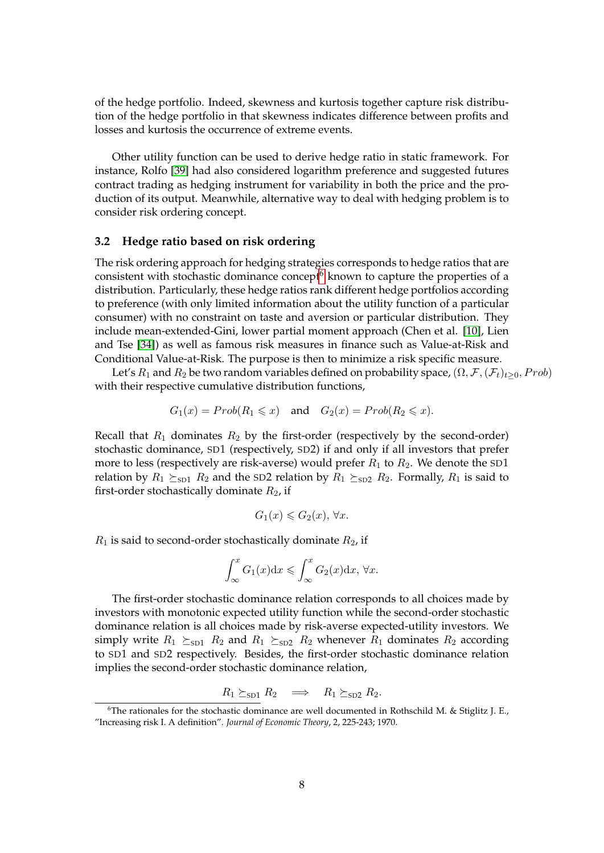of the hedge portfolio. Indeed, skewness and kurtosis together capture risk distribution of the hedge portfolio in that skewness indicates difference between profits and losses and kurtosis the occurrence of extreme events.

Other utility function can be used to derive hedge ratio in static framework. For instance, Rolfo [39] had also considered logarithm preference and suggested futures contract trading as hedging instrument for variability in both the price and the production of its output. Meanwhile, alternative way to deal with hedging problem is to consider risk ordering concept.

#### **3.2 Hedge ratio based on risk ordering**

The risk ordering approach for hedging strategies corresponds to hedge ratios that are consistent with stochastic dominance concept $6$  known to capture the properties of a distribution. Particularly, these hedge ratios rank different hedge portfolios according to preference (with only limited information about the utility function of a particular consumer) with no constraint on taste and aversion or particular distribution. They include mean-extended-Gini, lower partial moment approach (Chen et al. [10], Lien and Tse [34]) as well as famous risk measures in finance such as Value-at-Risk and Conditional Value-at-Risk. The purpose is then to minimize a risk specific measure.

Let's  $R_1$  and  $R_2$  be two random variables defined on probability space,  $(\Omega, \mathcal{F}, (\mathcal{F}_t)_{t>0}, Prob)$ with their respective cumulative distribution functions,

$$
G_1(x) = Prob(R_1 \leq x) \quad \text{and} \quad G_2(x) = Prob(R_2 \leq x).
$$

Recall that  $R_1$  dominates  $R_2$  by the first-order (respectively by the second-order) stochastic dominance, SD1 (respectively, SD2) if and only if all investors that prefer more to less (respectively are risk-averse) would prefer  $R_1$  to  $R_2$ . We denote the SD1 relation by  $R_1 \succeq_{SD1} R_2$  and the SD2 relation by  $R_1 \succeq_{SD2} R_2$ . Formally,  $R_1$  is said to first-order stochastically dominate *R*2, if

$$
G_1(x) \leq G_2(x), \,\forall x.
$$

 $R_1$  is said to second-order stochastically dominate  $R_2$ , if

$$
\int_{\infty}^{x} G_1(x) dx \leqslant \int_{\infty}^{x} G_2(x) dx, \,\forall x.
$$

The first-order stochastic dominance relation corresponds to all choices made by investors with monotonic expected utility function while the second-order stochastic dominance relation is all choices made by risk-averse expected-utility investors. We simply write  $R_1 \succeq_{SD1} R_2$  and  $R_1 \succeq_{SD2} R_2$  whenever  $R_1$  dominates  $R_2$  according to SD1 and SD2 respectively. Besides, the first-order stochastic dominance relation implies the second-order stochastic dominance relation,

$$
R_1 \succeq_{SD1} R_2 \implies R_1 \succeq_{SD2} R_2.
$$

<sup>&</sup>lt;sup>6</sup>The rationales for the stochastic dominance are well documented in Rothschild M. & Stiglitz J. E., "Increasing risk I. A definition". *Journal of Economic Theory*, 2, 225-243; 1970.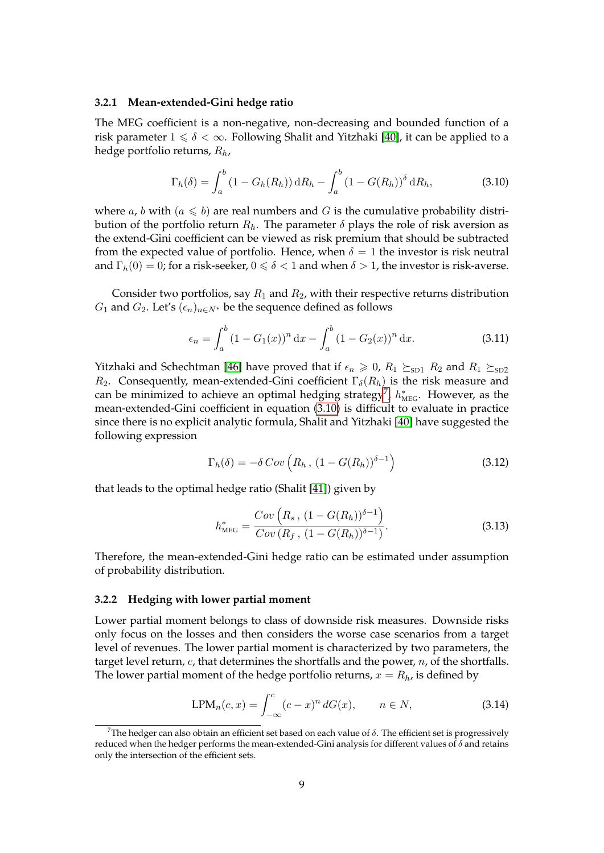#### **3.2.1 Mean-extended-Gini hedge ratio**

The MEG coefficient is a non-negative, non-decreasing and bounded function of a risk parameter  $1 \le \delta < \infty$ . Following Shalit and Yitzhaki [40], it can be applied to a hedge portfolio returns, *Rh*,

$$
\Gamma_h(\delta) = \int_a^b (1 - G_h(R_h)) \, dR_h - \int_a^b (1 - G(R_h))^{\delta} \, dR_h,
$$
\n(3.10)

where *a*, *b* with  $(a \le b)$  are real numbers and *G* is the cumulative probability distribution of the portfolio return  $R_h$ . The parameter  $\delta$  plays the role of risk aversion as the extend-Gini coefficient can be viewed as risk premium that should be subtracted from the expected value of portfolio. Hence, when  $\delta = 1$  the investor is risk neutral and  $\Gamma_h(0) = 0$ ; for a risk-seeker,  $0 \le \delta < 1$  and when  $\delta > 1$ , the investor is risk-averse.

Consider two portfolios, say *R*<sup>1</sup> and *R*2, with their respective returns distribution *G*<sub>1</sub> and *G*<sub>2</sub>. Let's  $(\epsilon_n)_{n \in N^*}$  be the sequence defined as follows

$$
\epsilon_n = \int_a^b (1 - G_1(x))^n dx - \int_a^b (1 - G_2(x))^n dx.
$$
 (3.11)

Yitzhaki and Schechtman [46] have proved that if  $\epsilon_n \geq 0$ ,  $R_1 \succeq_{SD1} R_2$  and  $R_1 \succeq_{SD2}$ *R*<sub>2</sub>. Consequently, mean-extended-Gini coefficient  $\Gamma_{\delta}(R_h)$  is the risk measure and can be minimized to achieve an optimal hedging strategy<sup>7</sup>,  $h^*_{\text{MEG}}$ . However, as the mean-extended-Gini coefficient in equation (3.10) is difficult to evaluate in practice since there is no explicit analytic formula, Shalit and Yitzhaki [40] have suggested the following expression

$$
\Gamma_h(\delta) = -\delta \operatorname{Cov}\left(R_h, \left(1 - G(R_h)\right)^{\delta - 1}\right) \tag{3.12}
$$

that leads to the optimal hedge ratio (Shalit [41]) given by

$$
h_{\text{MEG}}^* = \frac{Cov\left(R_s, \ (1 - G(R_h))^{\delta - 1}\right)}{Cov\left(R_f, \ (1 - G(R_h))^{\delta - 1}\right)}.\tag{3.13}
$$

Therefore, the mean-extended-Gini hedge ratio can be estimated under assumption of probability distribution.

#### **3.2.2 Hedging with lower partial moment**

Lower partial moment belongs to class of downside risk measures. Downside risks only focus on the losses and then considers the worse case scenarios from a target level of revenues. The lower partial moment is characterized by two parameters, the target level return, *c*, that determines the shortfalls and the power, *n*, of the shortfalls. The lower partial moment of the hedge portfolio returns,  $x = R_h$ , is defined by

$$
LPM_n(c, x) = \int_{-\infty}^{c} (c - x)^n dG(x), \qquad n \in N,
$$
\n(3.14)

<sup>&</sup>lt;sup>7</sup>The hedger can also obtain an efficient set based on each value of  $\delta$ . The efficient set is progressively reduced when the hedger performs the mean-extended-Gini analysis for different values of *δ* and retains only the intersection of the efficient sets.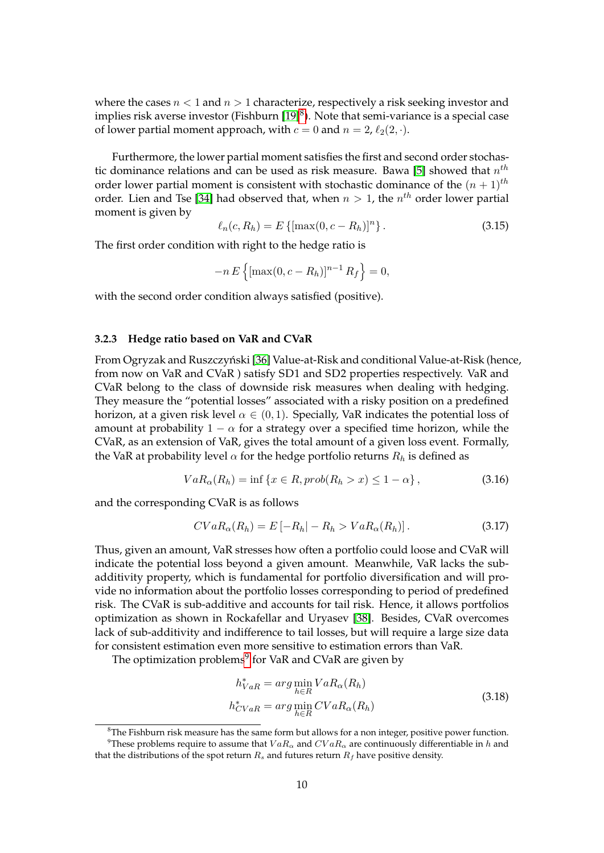where the cases *n <* 1 and *n >* 1 characterize, respectively a risk seeking investor and implies risk averse investor (Fishburn [19] $^8$ ). Note that semi-variance is a special case of lower partial moment approach, with  $c = 0$  and  $n = 2$ ,  $\ell_2(2, \cdot)$ .

Furthermore, the lower partial moment satisfies the first and second order stochastic dominance relations and can be used as risk measure. Bawa [5] showed that *n th* order lower partial moment is consistent with stochastic dominance of the  $(n + 1)$ <sup>th</sup> order. Lien and Tse [34] had observed that, when *n >* 1, the *n th* order lower partial moment is given by

$$
\ell_n(c, R_h) = E\left\{ [\max(0, c - R_h)]^n \right\}.
$$
\n(3.15)

The first order condition with right to the hedge ratio is

$$
-n E\left\{[\max(0, c - R_h)]^{n-1} R_f\right\} = 0,
$$

with the second order condition always satisfied (positive).

#### **3.2.3 Hedge ratio based on VaR and CVaR**

From Ogryzak and Ruszczyński [36] Value-at-Risk and conditional Value-at-Risk (hence, from now on VaR and CVaR ) satisfy SD1 and SD2 properties respectively. VaR and CVaR belong to the class of downside risk measures when dealing with hedging. They measure the "potential losses" associated with a risky position on a predefined horizon, at a given risk level  $\alpha \in (0,1)$ . Specially, VaR indicates the potential loss of amount at probability  $1 - \alpha$  for a strategy over a specified time horizon, while the CVaR, as an extension of VaR, gives the total amount of a given loss event. Formally, the VaR at probability level  $\alpha$  for the hedge portfolio returns  $R_h$  is defined as

$$
VaR_{\alpha}(R_h) = \inf \{ x \in R, prob(R_h > x) \le 1 - \alpha \},\tag{3.16}
$$

and the corresponding CVaR is as follows

$$
CVaR_{\alpha}(R_h) = E\left[-R_h| - R_h > VaR_{\alpha}(R_h)\right]. \tag{3.17}
$$

Thus, given an amount, VaR stresses how often a portfolio could loose and CVaR will indicate the potential loss beyond a given amount. Meanwhile, VaR lacks the subadditivity property, which is fundamental for portfolio diversification and will provide no information about the portfolio losses corresponding to period of predefined risk. The CVaR is sub-additive and accounts for tail risk. Hence, it allows portfolios optimization as shown in Rockafellar and Uryasev [38]. Besides, CVaR overcomes lack of sub-additivity and indifference to tail losses, but will require a large size data for consistent estimation even more sensitive to estimation errors than VaR.

The optimization problems $^9$  for VaR and CVaR are given by

$$
h_{VaR}^* = \arg\min_{h \in R} VaR_{\alpha}(R_h)
$$
  
\n
$$
h_{CVaR}^* = \arg\min_{h \in R} CVaR_{\alpha}(R_h)
$$
\n(3.18)

 ${}^{8}$ The Fishburn risk measure has the same form but allows for a non integer, positive power function. <sup>9</sup>These problems require to assume that  $VaR_\alpha$  and  $CVaR_\alpha$  are continuously differentiable in *h* and

that the distributions of the spot return  $R_s$  and futures return  $R_f$  have positive density.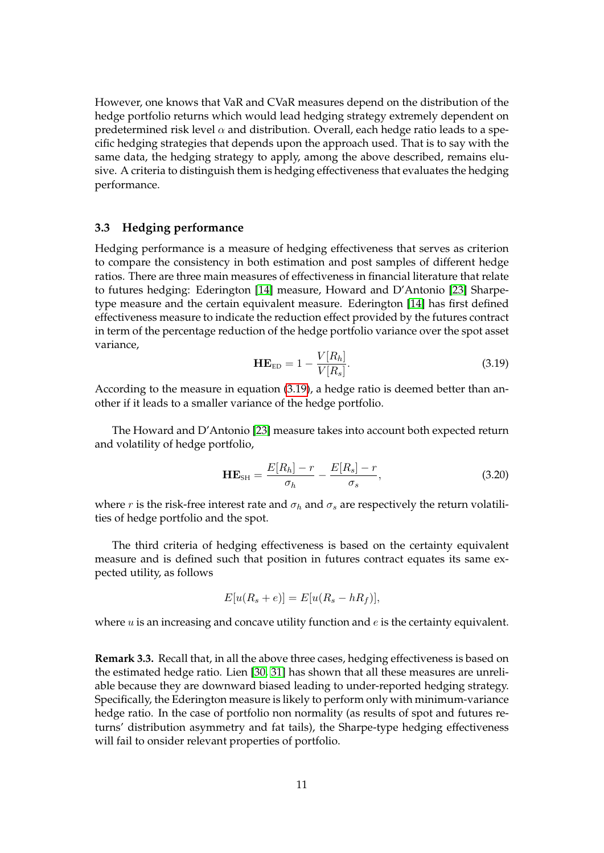However, one knows that VaR and CVaR measures depend on the distribution of the hedge portfolio returns which would lead hedging strategy extremely dependent on predetermined risk level  $\alpha$  and distribution. Overall, each hedge ratio leads to a specific hedging strategies that depends upon the approach used. That is to say with the same data, the hedging strategy to apply, among the above described, remains elusive. A criteria to distinguish them is hedging effectiveness that evaluates the hedging performance.

### **3.3 Hedging performance**

Hedging performance is a measure of hedging effectiveness that serves as criterion to compare the consistency in both estimation and post samples of different hedge ratios. There are three main measures of effectiveness in financial literature that relate to futures hedging: Ederington [14] measure, Howard and D'Antonio [23] Sharpetype measure and the certain equivalent measure. Ederington [14] has first defined effectiveness measure to indicate the reduction effect provided by the futures contract in term of the percentage reduction of the hedge portfolio variance over the spot asset variance,

$$
\mathbf{H}\mathbf{E}_{ED} = 1 - \frac{V[R_h]}{V[R_s]}.
$$
\n(3.19)

According to the measure in equation (3.19), a hedge ratio is deemed better than another if it leads to a smaller variance of the hedge portfolio.

The Howard and D'Antonio [23] measure takes into account both expected return and volatility of hedge portfolio,

$$
\mathbf{H}\mathbf{E}_{\text{SH}} = \frac{E[R_h] - r}{\sigma_h} - \frac{E[R_s] - r}{\sigma_s},\tag{3.20}
$$

where *r* is the risk-free interest rate and  $\sigma_h$  and  $\sigma_s$  are respectively the return volatilities of hedge portfolio and the spot.

The third criteria of hedging effectiveness is based on the certainty equivalent measure and is defined such that position in futures contract equates its same expected utility, as follows

$$
E[u(R_s + e)] = E[u(R_s - hR_f)],
$$

where *u* is an increasing and concave utility function and *e* is the certainty equivalent.

**Remark 3.3.** Recall that, in all the above three cases, hedging effectiveness is based on the estimated hedge ratio. Lien [30, 31] has shown that all these measures are unreliable because they are downward biased leading to under-reported hedging strategy. Specifically, the Ederington measure is likely to perform only with minimum-variance hedge ratio. In the case of portfolio non normality (as results of spot and futures returns' distribution asymmetry and fat tails), the Sharpe-type hedging effectiveness will fail to onsider relevant properties of portfolio.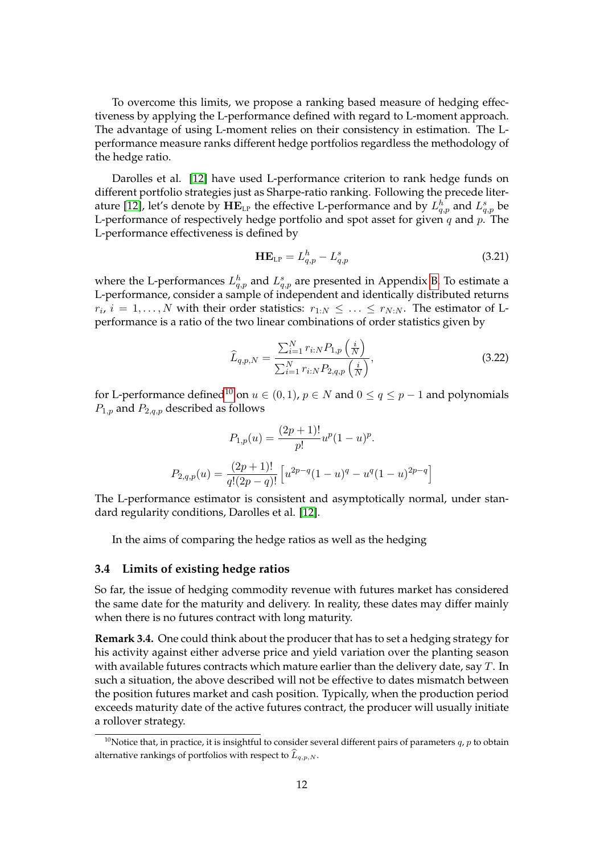To overcome this limits, we propose a ranking based measure of hedging effectiveness by applying the L-performance defined with regard to L-moment approach. The advantage of using L-moment relies on their consistency in estimation. The Lperformance measure ranks different hedge portfolios regardless the methodology of the hedge ratio.

Darolles et al. [12] have used L-performance criterion to rank hedge funds on different portfolio strategies just as Sharpe-ratio ranking. Following the precede literature [12], let's denote by  $\mathbf{HE}_{\text{LP}}$  the effective L-performance and by  $L^h_{q,p}$  and  $L^s_{q,p}$  be L-performance of respectively hedge portfolio and spot asset for given *q* and *p*. The L-performance effectiveness is defined by

$$
\mathbf{H} \mathbf{E}_{\text{LP}} = L_{q,p}^h - L_{q,p}^s \tag{3.21}
$$

where the L-performances  $L_{q,p}^h$  and  $L_{q,p}^s$  are presented in Appendix B. To estimate a L-performance, consider a sample of independent and identically distributed returns  $r_i$ ,  $i = 1, \ldots, N$  with their order statistics:  $r_{1:N} \leq \ldots \leq r_{N:N}$ . The estimator of Lperformance is a ratio of the two linear combinations of order statistics given by

$$
\widehat{L}_{q,p,N} = \frac{\sum_{i=1}^{N} r_{i:N} P_{1,p} \left( \frac{i}{N} \right)}{\sum_{i=1}^{N} r_{i:N} P_{2,q,p} \left( \frac{i}{N} \right)},\tag{3.22}
$$

for L-performance defined<sup>10</sup> on  $u \in (0,1)$ ,  $p \in N$  and  $0 \le q \le p-1$  and polynomials *P*1*,p* and *P*2*,q,p* described as follows

$$
P_{1,p}(u) = \frac{(2p+1)!}{p!}u^p(1-u)^p.
$$
  

$$
P_{2,q,p}(u) = \frac{(2p+1)!}{q!(2p-q)!} \left[ u^{2p-q}(1-u)^q - u^q(1-u)^{2p-q} \right]
$$

The L-performance estimator is consistent and asymptotically normal, under standard regularity conditions, Darolles et al. [12].

In the aims of comparing the hedge ratios as well as the hedging

#### **3.4 Limits of existing hedge ratios**

So far, the issue of hedging commodity revenue with futures market has considered the same date for the maturity and delivery. In reality, these dates may differ mainly when there is no futures contract with long maturity.

**Remark 3.4.** One could think about the producer that has to set a hedging strategy for his activity against either adverse price and yield variation over the planting season with available futures contracts which mature earlier than the delivery date, say *T*. In such a situation, the above described will not be effective to dates mismatch between the position futures market and cash position. Typically, when the production period exceeds maturity date of the active futures contract, the producer will usually initiate a rollover strategy.

<sup>&</sup>lt;sup>10</sup>Notice that, in practice, it is insightful to consider several different pairs of parameters  $q$ ,  $p$  to obtain alternative rankings of portfolios with respect to  $\widehat{L}_{q,p,N}$ .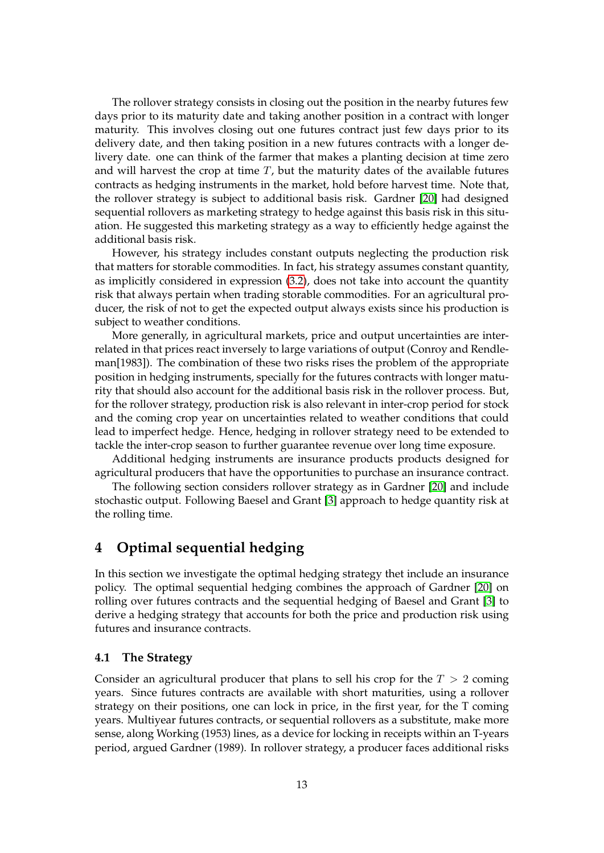The rollover strategy consists in closing out the position in the nearby futures few days prior to its maturity date and taking another position in a contract with longer maturity. This involves closing out one futures contract just few days prior to its delivery date, and then taking position in a new futures contracts with a longer delivery date. one can think of the farmer that makes a planting decision at time zero and will harvest the crop at time *T*, but the maturity dates of the available futures contracts as hedging instruments in the market, hold before harvest time. Note that, the rollover strategy is subject to additional basis risk. Gardner [20] had designed sequential rollovers as marketing strategy to hedge against this basis risk in this situation. He suggested this marketing strategy as a way to efficiently hedge against the additional basis risk.

However, his strategy includes constant outputs neglecting the production risk that matters for storable commodities. In fact, his strategy assumes constant quantity, as implicitly considered in expression (3.2), does not take into account the quantity risk that always pertain when trading storable commodities. For an agricultural producer, the risk of not to get the expected output always exists since his production is subject to weather conditions.

More generally, in agricultural markets, price and output uncertainties are interrelated in that prices react inversely to large variations of output (Conroy and Rendleman[1983]). The combination of these two risks rises the problem of the appropriate position in hedging instruments, specially for the futures contracts with longer maturity that should also account for the additional basis risk in the rollover process. But, for the rollover strategy, production risk is also relevant in inter-crop period for stock and the coming crop year on uncertainties related to weather conditions that could lead to imperfect hedge. Hence, hedging in rollover strategy need to be extended to tackle the inter-crop season to further guarantee revenue over long time exposure.

Additional hedging instruments are insurance products products designed for agricultural producers that have the opportunities to purchase an insurance contract.

The following section considers rollover strategy as in Gardner [20] and include stochastic output. Following Baesel and Grant [3] approach to hedge quantity risk at the rolling time.

# **4 Optimal sequential hedging**

In this section we investigate the optimal hedging strategy thet include an insurance policy. The optimal sequential hedging combines the approach of Gardner [20] on rolling over futures contracts and the sequential hedging of Baesel and Grant [3] to derive a hedging strategy that accounts for both the price and production risk using futures and insurance contracts.

### **4.1 The Strategy**

Consider an agricultural producer that plans to sell his crop for the *T >* 2 coming years. Since futures contracts are available with short maturities, using a rollover strategy on their positions, one can lock in price, in the first year, for the T coming years. Multiyear futures contracts, or sequential rollovers as a substitute, make more sense, along Working (1953) lines, as a device for locking in receipts within an T-years period, argued Gardner (1989). In rollover strategy, a producer faces additional risks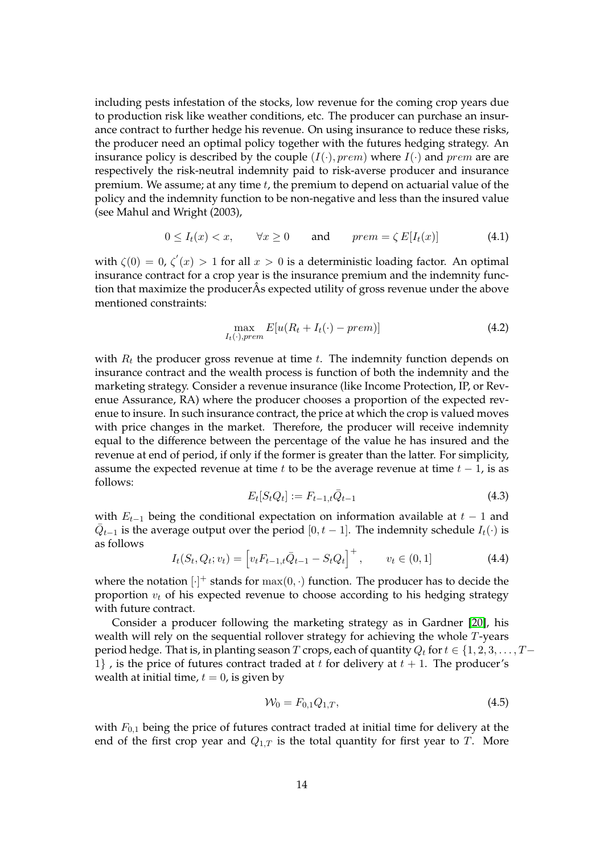including pests infestation of the stocks, low revenue for the coming crop years due to production risk like weather conditions, etc. The producer can purchase an insurance contract to further hedge his revenue. On using insurance to reduce these risks, the producer need an optimal policy together with the futures hedging strategy. An insurance policy is described by the couple  $(I(\cdot), \text{prem})$  where  $I(\cdot)$  and  $\text{prem}$  are are respectively the risk-neutral indemnity paid to risk-averse producer and insurance premium. We assume; at any time *t*, the premium to depend on actuarial value of the policy and the indemnity function to be non-negative and less than the insured value (see Mahul and Wright (2003),

$$
0 \le I_t(x) < x, \qquad \forall x \ge 0 \qquad \text{and} \qquad \text{prem} = \zeta \, E[I_t(x)] \tag{4.1}
$$

with  $\zeta(0) = 0$ ,  $\zeta'(x) > 1$  for all  $x > 0$  is a deterministic loading factor. An optimal insurance contract for a crop year is the insurance premium and the indemnity function that maximize the producerÂs expected utility of gross revenue under the above mentioned constraints:

$$
\max_{I_t(\cdot), prem} E[u(R_t + I_t(\cdot) - prem)] \tag{4.2}
$$

with *R<sup>t</sup>* the producer gross revenue at time *t*. The indemnity function depends on insurance contract and the wealth process is function of both the indemnity and the marketing strategy. Consider a revenue insurance (like Income Protection, IP, or Revenue Assurance, RA) where the producer chooses a proportion of the expected revenue to insure. In such insurance contract, the price at which the crop is valued moves with price changes in the market. Therefore, the producer will receive indemnity equal to the difference between the percentage of the value he has insured and the revenue at end of period, if only if the former is greater than the latter. For simplicity, assume the expected revenue at time  $t$  to be the average revenue at time  $t - 1$ , is as follows:

$$
E_t[S_t Q_t] := F_{t-1,t} \bar{Q}_{t-1}
$$
\n(4.3)

with  $E_{t-1}$  being the conditional expectation on information available at  $t-1$  and  $\bar{Q}_{t-1}$  is the average output over the period  $[0, t-1]$ . The indemnity schedule  $I_t(\cdot)$  is as follows

$$
I_t(S_t, Q_t; v_t) = \left[ v_t F_{t-1,t} \bar{Q}_{t-1} - S_t Q_t \right]^+, \qquad v_t \in (0, 1]
$$
\n(4.4)

where the notation  $[\cdot]^+$  stands for  $\max(0, \cdot)$  function. The producer has to decide the proportion  $v_t$  of his expected revenue to choose according to his hedging strategy with future contract.

Consider a producer following the marketing strategy as in Gardner [20], his wealth will rely on the sequential rollover strategy for achieving the whole *T*-years period hedge. That is, in planting season *T* crops, each of quantity  $Q_t$  for  $t \in \{1, 2, 3, \ldots, T-$ 1} , is the price of futures contract traded at  $t$  for delivery at  $t + 1$ . The producer's wealth at initial time,  $t = 0$ , is given by

$$
\mathcal{W}_0 = F_{0,1} Q_{1,T},\tag{4.5}
$$

with  $F_{0,1}$  being the price of futures contract traded at initial time for delivery at the end of the first crop year and  $Q_{1,T}$  is the total quantity for first year to *T*. More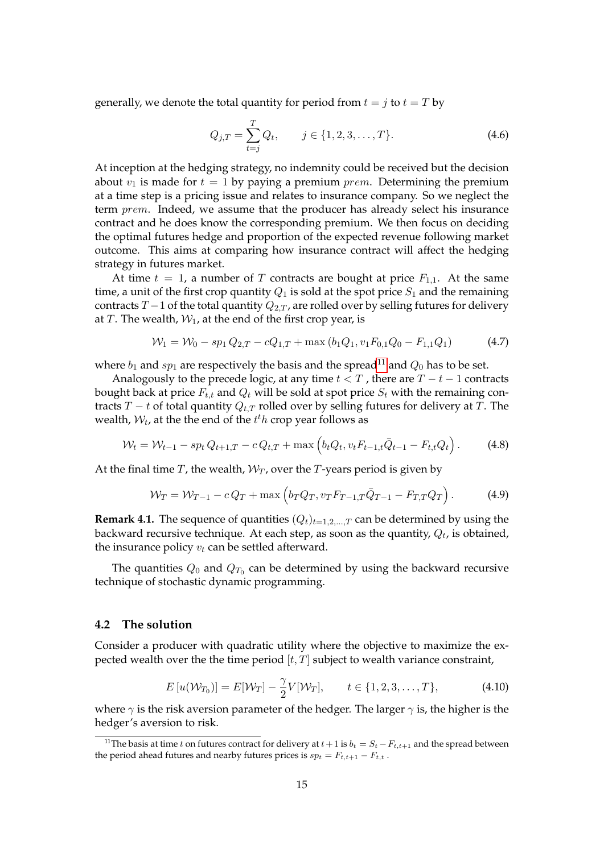generally, we denote the total quantity for period from  $t = j$  to  $t = T$  by

$$
Q_{j,T} = \sum_{t=j}^{T} Q_t, \qquad j \in \{1, 2, 3, \dots, T\}.
$$
\n(4.6)

At inception at the hedging strategy, no indemnity could be received but the decision about  $v_1$  is made for  $t = 1$  by paying a premium *prem*. Determining the premium at a time step is a pricing issue and relates to insurance company. So we neglect the term *prem*. Indeed, we assume that the producer has already select his insurance contract and he does know the corresponding premium. We then focus on deciding the optimal futures hedge and proportion of the expected revenue following market outcome. This aims at comparing how insurance contract will affect the hedging strategy in futures market.

At time  $t = 1$ , a number of *T* contracts are bought at price  $F_{1,1}$ . At the same time, a unit of the first crop quantity  $Q_1$  is sold at the spot price  $S_1$  and the remaining contracts *T* − 1 of the total quantity  $Q_{2,T}$ , are rolled over by selling futures for delivery at *T*. The wealth,  $W_1$ , at the end of the first crop year, is

$$
\mathcal{W}_1 = \mathcal{W}_0 - sp_1 Q_{2,T} - cQ_{1,T} + \max(b_1 Q_1, v_1 F_{0,1} Q_0 - F_{1,1} Q_1) \tag{4.7}
$$

where  $b_1$  and  $sp_1$  are respectively the basis and the spread<sup>11</sup> and  $Q_0$  has to be set.

Analogously to the precede logic, at any time  $t < T$ , there are  $T - t - 1$  contracts bought back at price  $F_{t,t}$  and  $Q_t$  will be sold at spot price  $S_t$  with the remaining contracts *T* − *t* of total quantity  $Q_{t,T}$  rolled over by selling futures for delivery at *T*. The wealth,  $W_t$ , at the the end of the  $t^th$  crop year follows as

$$
\mathcal{W}_t = \mathcal{W}_{t-1} - sp_t Q_{t+1,T} - c Q_{t,T} + \max \left( b_t Q_t, v_t F_{t-1,t} \bar{Q}_{t-1} - F_{t,t} Q_t \right). \tag{4.8}
$$

At the final time  $T$ , the wealth,  $W_T$ , over the  $T$ -years period is given by

$$
\mathcal{W}_T = \mathcal{W}_{T-1} - cQ_T + \max\left(b_T Q_T, v_T F_{T-1,T} \bar{Q}_{T-1} - F_{T,T} Q_T\right). \tag{4.9}
$$

**Remark 4.1.** The sequence of quantities  $(Q_t)_{t=1,2,...,T}$  can be determined by using the backward recursive technique. At each step, as soon as the quantity, *Q<sup>t</sup>* , is obtained, the insurance policy *v<sup>t</sup>* can be settled afterward.

The quantities  $Q_0$  and  $Q_{T_0}$  can be determined by using the backward recursive technique of stochastic dynamic programming.

#### **4.2 The solution**

Consider a producer with quadratic utility where the objective to maximize the expected wealth over the the time period [*t, T*] subject to wealth variance constraint,

$$
E[u(\mathcal{W}_{T_0})] = E[\mathcal{W}_T] - \frac{\gamma}{2} V[\mathcal{W}_T], \qquad t \in \{1, 2, 3, \dots, T\},
$$
\n(4.10)

where *γ* is the risk aversion parameter of the hedger. The larger *γ* is, the higher is the hedger's aversion to risk.

<sup>&</sup>lt;sup>11</sup>The basis at time *t* on futures contract for delivery at  $t+1$  is  $b_t = S_t - F_{t,t+1}$  and the spread between the period ahead futures and nearby futures prices is  $sp_t = F_{t,t+1} - F_{t,t}$ .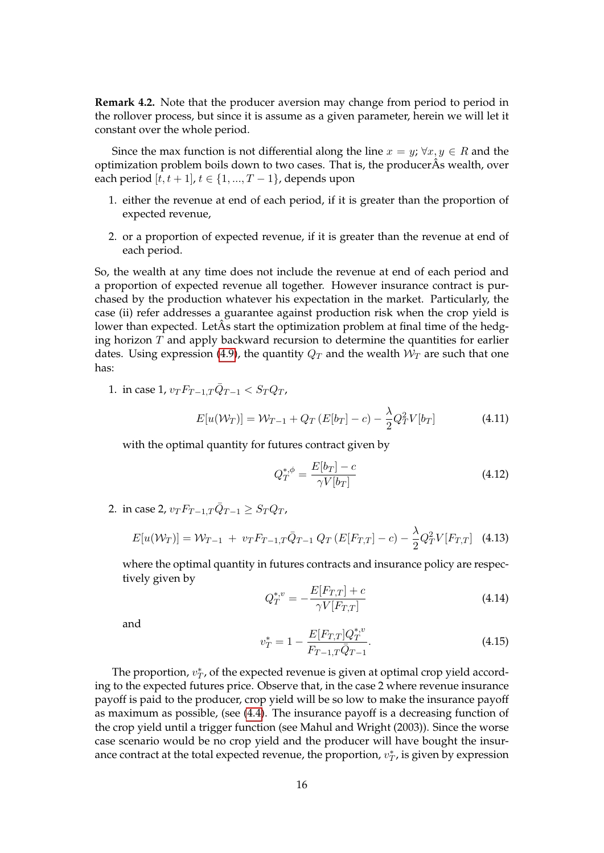**Remark 4.2.** Note that the producer aversion may change from period to period in the rollover process, but since it is assume as a given parameter, herein we will let it constant over the whole period.

Since the max function is not differential along the line  $x = y$ ;  $\forall x, y \in R$  and the optimization problem boils down to two cases. That is, the producerÂs wealth, over each period  $[t, t + 1]$ ,  $t \in \{1, ..., T - 1\}$ , depends upon

- 1. either the revenue at end of each period, if it is greater than the proportion of expected revenue,
- 2. or a proportion of expected revenue, if it is greater than the revenue at end of each period.

So, the wealth at any time does not include the revenue at end of each period and a proportion of expected revenue all together. However insurance contract is purchased by the production whatever his expectation in the market. Particularly, the case (ii) refer addresses a guarantee against production risk when the crop yield is lower than expected. LetÂs start the optimization problem at final time of the hedging horizon *T* and apply backward recursion to determine the quantities for earlier dates. Using expression (4.9), the quantity  $Q_T$  and the wealth  $W_T$  are such that one has:

1. in case 1,  $v_T F_{T-1,T} \bar{Q}_{T-1} < S_T Q_T$ ,

$$
E[u(\mathcal{W}_T)] = \mathcal{W}_{T-1} + Q_T (E[b_T] - c) - \frac{\lambda}{2} Q_T^2 V[b_T]
$$
\n(4.11)

with the optimal quantity for futures contract given by

$$
Q_T^{*,\phi} = \frac{E[b_T] - c}{\gamma V[b_T]}
$$
\n(4.12)

2. in case 2,  $v_T F_{T-1,T} \bar{Q}_{T-1} \geq S_T Q_T$ ,

$$
E[u(\mathcal{W}_T)] = \mathcal{W}_{T-1} + v_T F_{T-1,T} \bar{Q}_{T-1} Q_T (E[F_{T,T}] - c) - \frac{\lambda}{2} Q_T^2 V[F_{T,T}] \quad (4.13)
$$

where the optimal quantity in futures contracts and insurance policy are respectively given by

$$
Q_T^{*,v} = -\frac{E[F_{T,T}] + c}{\gamma V[F_{T,T}]}
$$
\n(4.14)

and

$$
v_T^* = 1 - \frac{E[F_{T,T}]Q_T^{*,v}}{F_{T-1,T}\bar{Q}_{T-1}}.\tag{4.15}
$$

The proportion,  $v_T^*$ , of the expected revenue is given at optimal crop yield according to the expected futures price. Observe that, in the case 2 where revenue insurance payoff is paid to the producer, crop yield will be so low to make the insurance payoff as maximum as possible, (see (4.4). The insurance payoff is a decreasing function of the crop yield until a trigger function (see Mahul and Wright (2003)). Since the worse case scenario would be no crop yield and the producer will have bought the insurance contract at the total expected revenue, the proportion,  $v_T^*$ , is given by expression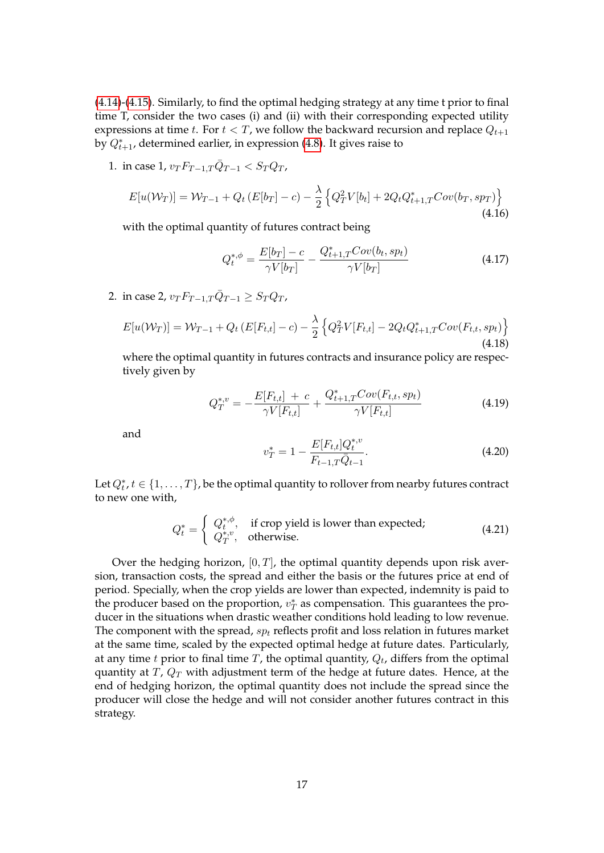(4.14)-(4.15). Similarly, to find the optimal hedging strategy at any time t prior to final time T, consider the two cases (i) and (ii) with their corresponding expected utility expressions at time *t*. For  $t < T$ , we follow the backward recursion and replace  $Q_{t+1}$ by *Q*<sup>∗</sup> *<sup>t</sup>*+1, determined earlier, in expression (4.8). It gives raise to

1. in case 1,  $v_T F_{T-1,T} \bar{Q}_{T-1} < S_T Q_T$ ,

$$
E[u(\mathcal{W}_T)] = \mathcal{W}_{T-1} + Q_t (E[b_T] - c) - \frac{\lambda}{2} \left\{ Q_T^2 V[b_t] + 2Q_t Q_{t+1,T}^* Cov(b_T, s_{PT}) \right\}
$$
\n(4.16)

with the optimal quantity of futures contract being

$$
Q_t^{*,\phi} = \frac{E[b_T] - c}{\gamma V[b_T]} - \frac{Q_{t+1,T}^* Cov(b_t, sp_t)}{\gamma V[b_T]}
$$
(4.17)

2. in case 2,  $v_T F_{T-1,T} \bar{Q}_{T-1} \geq S_T Q_T$ ,

$$
E[u(\mathcal{W}_T)] = \mathcal{W}_{T-1} + Q_t (E[F_{t,t}] - c) - \frac{\lambda}{2} \left\{ Q_T^2 V[F_{t,t}] - 2Q_t Q_{t+1,T}^* Cov(F_{t,t}, sp_t) \right\}
$$
\n(4.18)

where the optimal quantity in futures contracts and insurance policy are respectively given by

$$
Q_T^{*,v} = -\frac{E[F_{t,t}] + c}{\gamma V[F_{t,t}]} + \frac{Q_{t+1,T}^* Cov(F_{t,t}, sp_t)}{\gamma V[F_{t,t}]}
$$
(4.19)

and

$$
v_T^* = 1 - \frac{E[F_{t,t}]\mathbf{Q}_t^{*,v}}{F_{t-1,T}\bar{\mathbf{Q}}_{t-1}}.\tag{4.20}
$$

Let  $Q_t^*, t \in \{1, \ldots, T\}$ , be the optimal quantity to rollover from nearby futures contract to new one with,

$$
Q_t^* = \begin{cases} Q_t^{*,\phi}, & \text{if crop yield is lower than expected;} \\ Q_T^{*,v}, & \text{otherwise.} \end{cases}
$$
 (4.21)

Over the hedging horizon,  $[0, T]$ , the optimal quantity depends upon risk aversion, transaction costs, the spread and either the basis or the futures price at end of period. Specially, when the crop yields are lower than expected, indemnity is paid to the producer based on the proportion,  $v_T^*$  as compensation. This guarantees the producer in the situations when drastic weather conditions hold leading to low revenue. The component with the spread, *sp<sup>t</sup>* reflects profit and loss relation in futures market at the same time, scaled by the expected optimal hedge at future dates. Particularly, at any time *t* prior to final time *T*, the optimal quantity, *Q<sup>t</sup>* , differs from the optimal quantity at *T*,  $Q_T$  with adjustment term of the hedge at future dates. Hence, at the end of hedging horizon, the optimal quantity does not include the spread since the producer will close the hedge and will not consider another futures contract in this strategy.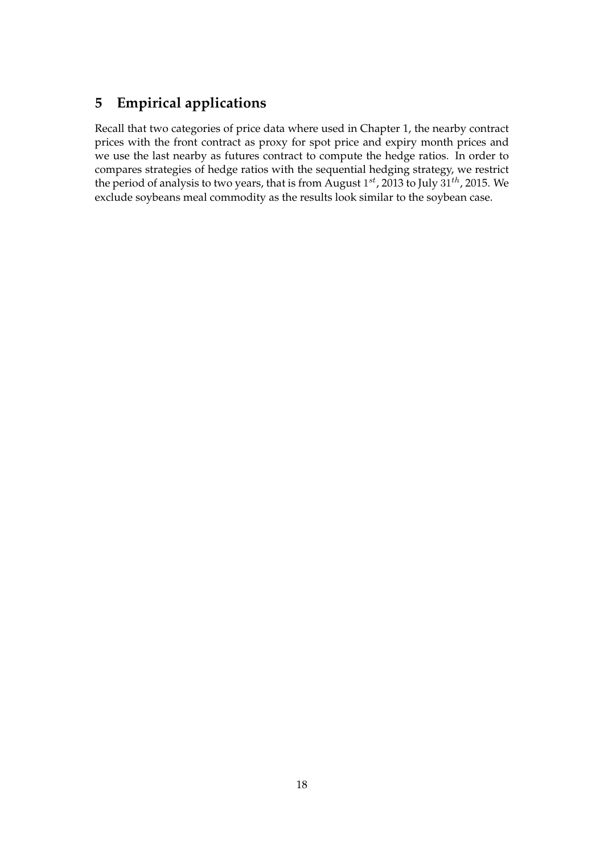# **5 Empirical applications**

Recall that two categories of price data where used in Chapter 1, the nearby contract prices with the front contract as proxy for spot price and expiry month prices and we use the last nearby as futures contract to compute the hedge ratios. In order to compares strategies of hedge ratios with the sequential hedging strategy, we restrict the period of analysis to two years, that is from August 1 *st*, 2013 to July 31*th*, 2015. We exclude soybeans meal commodity as the results look similar to the soybean case.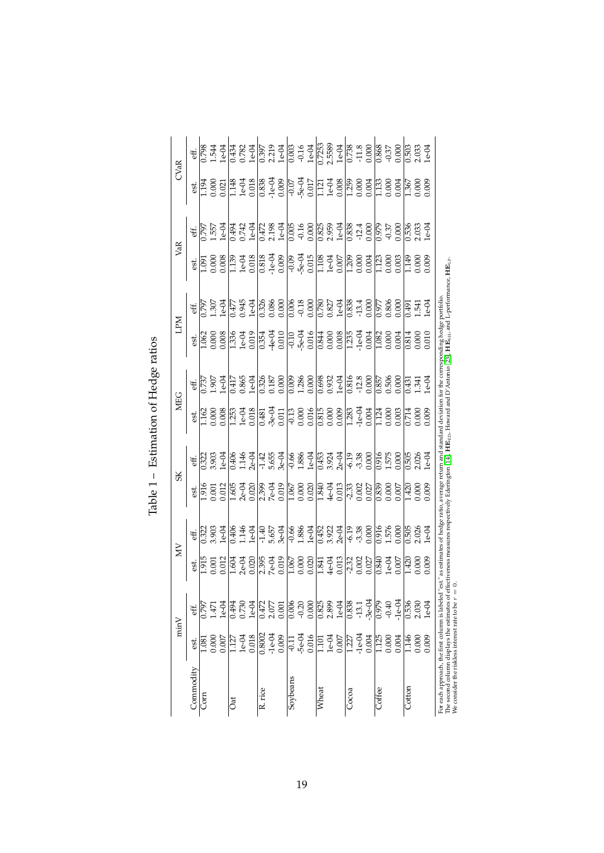| CVaR<br>VaR<br><b>NdT</b><br><b>MEG</b> | eff.      | 362.0       | $-544$                 | $e$ -04 | 0.434                 | 0.782              | $1e-04$ |                       | 0.397<br>2.219      | $1e-04$ |                      | $\frac{0.003}{0.16}$ |         | 0.7253<br>2.5589                     |                         | $\frac{1e-04}{0.738}$ $\frac{1}{0.000}$                                              |         |                           |          | 0.868                 | $-0.37$<br>0.00C   |          | 0.503                   | 2.033          | $e$ -04 |                                                                                                                                                                                                                                                                                 |
|-----------------------------------------|-----------|-------------|------------------------|---------|-----------------------|--------------------|---------|-----------------------|---------------------|---------|----------------------|----------------------|---------|--------------------------------------|-------------------------|--------------------------------------------------------------------------------------|---------|---------------------------|----------|-----------------------|--------------------|----------|-------------------------|----------------|---------|---------------------------------------------------------------------------------------------------------------------------------------------------------------------------------------------------------------------------------------------------------------------------------|
|                                         | est.      |             | 1.194<br>0.00<br>0.021 |         | $\frac{1148}{16-04}$  |                    |         | $\frac{0.838}{1 - 1}$ |                     | 0.009   |                      | $-0.07$              | 0.017   | $\frac{1}{1121}$<br>$\frac{1}{1008}$ |                         |                                                                                      |         | $\frac{1.259}{0.000}$     | 0.004    | 1.133                 | 3.004              |          | 1.367                   | 0.000          | 0.009   |                                                                                                                                                                                                                                                                                 |
|                                         | eĦ.       | 52.1        | $-55$                  | $e$ -94 | 0.494                 | 0.742              | $1e-04$ | 0.472                 | 2.198               | $1e-04$ | $\frac{0.005}{\pi}$  | $-0.16$<br>$0.000$   |         |                                      |                         | 0.825<br>2.959<br>1e-0.835<br>12.4                                                   |         |                           | 0.00C    | $\frac{526}{3}$       | $-0.37$            | 0.000    | 356                     | 2.033          | $1e-04$ |                                                                                                                                                                                                                                                                                 |
|                                         | est.      | $60$ .      | 0.000                  | 0.008   | $\frac{1}{3}$         | $1e-04$            | 0.018   |                       | $0.818$<br>$-1e-04$ | 0.009   |                      | $\frac{1}{-5e-04}$   |         | 1.108                                | $1e-04$                 | 0.007                                                                                |         | 1.209                     | 0.004    | $\frac{1}{2}$         | 0.000              | 0.003    | $\frac{145}{11}$        | 0.000          | 0.009   |                                                                                                                                                                                                                                                                                 |
|                                         | ÈÉ.       | 597         | 1.307                  | $e$ -04 | $\frac{1}{2}$         | 0.945              | $1e-04$ | 0.326                 | 0.086               | 0.000   | $\frac{8000}{10000}$ | $-0.18$              |         |                                      | 0.780<br>0.827          | $\frac{1}{10}$ $\frac{63}{33}$<br>$\frac{3}{13}$<br>$\frac{3}{10}$<br>$\frac{3}{10}$ |         |                           |          | $\frac{5}{2}$         | 0.806              | 0.000    | 0491                    | 1.541          | $1e-04$ |                                                                                                                                                                                                                                                                                 |
|                                         | ë.        | $-96$       | 0.000                  | 0.008   | $\frac{336}{2}$       | $1e-04$<br>$0.019$ |         | 0.354                 | $-4e-04$            | 0.010   |                      | $\frac{10}{-5e-04}$  |         | 0.000<br>0.000<br>0.000              |                         |                                                                                      |         | $\frac{1.235}{1 - 0.004}$ |          | $\frac{82}{1.082}$    | 0.000              | 0.004    | 0.814                   | 0.0000         |         |                                                                                                                                                                                                                                                                                 |
|                                         | eff.      | .73         | -907                   | $-04$   | 0.417                 | 1.865              | $e$ -04 | 0.326                 | 0.187               | 0.000   | $\frac{600}{100}$    | 1.286                | 0.000   | 0.698                                | 0.932                   | $1e-04$                                                                              |         | 0.816<br>-12.8<br>0.000   |          | $\frac{185}{7}$       | 0.506              | 0.000    | $-1431$                 | $\frac{34}{5}$ |         |                                                                                                                                                                                                                                                                                 |
|                                         | ë.        | $-162$      | 00(                    | 0.008   | 1.253                 | $1e-04$            | 0.018   | 0.481                 | $-3e-04$            | 0.011   |                      | $\frac{13}{0.000}$   | 0.016   | 0.000<br>0.000<br>0.009              |                         |                                                                                      | 1.283   | $-1e-04$<br>$0.004$       |          | 1.124                 | 0.000              | 0.003    | 0.714                   | 000            | 0.009   | effectiveness measures respectively Ederington [14], HB <sub>ED</sub> , Howard and D'Antonio [23], HB <sub>SH</sub> , and L-performance, HB <sub>LP</sub> .<br>"est." as estimates of hedge ratio, average return and standard deviation for the corresponding hedge portfolio. |
| SK<br>ЙM                                | ¥.        | 0.322       | 3.903                  | $-04$   | 0.406                 | 1.146              | $2e-04$ | $-1.42$               | 5.655               | $3e-04$ |                      | $\frac{0.66}{1.886}$ | $1e-04$ | 0.453<br>3.924                       |                         | $2e-04$                                                                              | $-6.19$ | $-3.38$                   | 0.000    | $\frac{0.916}{1.575}$ |                    | 0.000    | 0.505                   | 2.026          | $e$ -94 |                                                                                                                                                                                                                                                                                 |
|                                         | est.      | $\tilde{5}$ | 001                    | 0.012   | 1.605                 | $2e-04$            | 0.020   | 2.399                 | $7e-04$             | 0.019   | 1.067                | 0.000                | 0.020   |                                      | 1.840<br>4e-04<br>0.013 |                                                                                      | $-2.33$ | $0.002$<br>$0.027$        |          | $\frac{839}{2}$       | $0.000$<br>$0.007$ |          | $\frac{42}{5}$          | 0.000          | 0.005   |                                                                                                                                                                                                                                                                                 |
|                                         | Ef.       |             | 1.322<br>3.903         | $1e-04$ | 0.406                 | 1.146              | $1e-04$ | $-1.40$               | 5.657               | $3e-04$ | $-0.66$              | 1.886<br>1e-04       |         | 0.452                                | 3.922                   | $2e-04$                                                                              | $-6.19$ | $-3.38$                   | 0.000    | 0.916                 | 1.576              | 0.000    | 0.505                   | 2.026          | $1e-04$ |                                                                                                                                                                                                                                                                                 |
|                                         | est.      | $\vec{5}$   | 0.001                  | 0.012   | 1.604                 | $2e-04$            | 0.020   | 2.395                 | <b>7e-04</b>        | 0.019   | $\frac{1}{067}$      | 0.000                | 0.020   | 1.841                                | $4e-04$<br>$0.013$      |                                                                                      | $-2.32$ | 0.002                     | 0.027    | 0.840                 | $1e-04$            | 0.007    | 142(                    | 0.000          | 000(    |                                                                                                                                                                                                                                                                                 |
| minV                                    | È.        | 2797        | Г47                    | $1e-04$ | 0.494                 | 0.730              | $1e-04$ | 0.472<br>2.077        |                     | 0.001   |                      |                      |         |                                      |                         | 0.825<br>2.899<br>1e-0.836                                                           |         | $-13.1$                   | $-3e-04$ | 0.979                 | $-0.40$            | $-1e-04$ | 0.536                   | 2.030          | $1e-04$ |                                                                                                                                                                                                                                                                                 |
|                                         | ë.        | 0.08        | 0.000                  | 0.007   | $\frac{1.127}{1e-04}$ |                    | 0.018   | 0.8002                | $-1e-04$            | 0.009   |                      | $-5e-04$             | 0.016   |                                      | 1.101<br>1e-04<br>0.007 |                                                                                      | 1.227   | $-1e-04$                  | 0.004    | 1.125                 | 0.000              | 0.004    | 1.146                   | 0.000          | 0.009   |                                                                                                                                                                                                                                                                                 |
|                                         | Commodity | Com<br>C    |                        |         | đ                     |                    |         | R. rice               |                     |         | Soybeans             |                      |         | Wheat                                |                         |                                                                                      | Cocoa   |                           |          | $_{\rm{odfee}}$       |                    |          | $\operatorname{Cottom}$ |                |         | We consider the riskless interest rate to be $r = 0$ .<br>For each approach, the first column is labeled<br>The second column displays the estimates of                                                                                                                         |

Table 1 - Estimation of Hedge ratios Table 1 – Estimation of Hedge ratios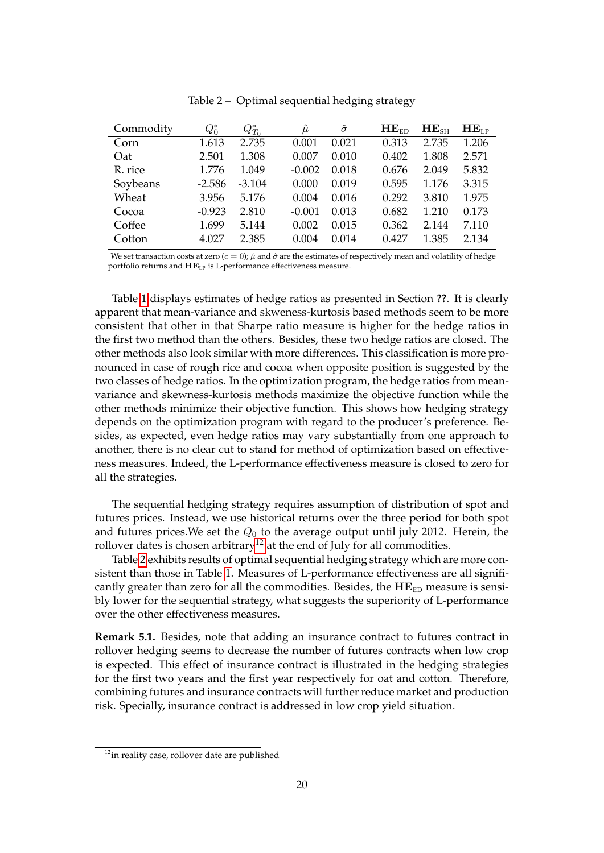| Commodity | $Q_0^*$  | $Q_{T_0}^*$ | $\mu$    | $\hat{\sigma}$ | $HE_{ED}$ | HE <sub>SH</sub> | HE <sub>LP</sub> |
|-----------|----------|-------------|----------|----------------|-----------|------------------|------------------|
| Corn      | 1.613    | 2.735       | 0.001    | 0.021          | 0.313     | 2.735            | 1.206            |
| Oat       | 2.501    | 1.308       | 0.007    | 0.010          | 0.402     | 1.808            | 2.571            |
| R. rice   | 1.776    | 1.049       | $-0.002$ | 0.018          | 0.676     | 2.049            | 5.832            |
| Soybeans  | $-2.586$ | $-3.104$    | 0.000    | 0.019          | 0.595     | 1.176            | 3.315            |
| Wheat     | 3.956    | 5.176       | 0.004    | 0.016          | 0.292     | 3.810            | 1.975            |
| Cocoa     | $-0.923$ | 2.810       | $-0.001$ | 0.013          | 0.682     | 1.210            | 0.173            |
| Coffee    | 1.699    | 5.144       | 0.002    | 0.015          | 0.362     | 2.144            | 7.110            |
| Cotton    | 4.027    | 2.385       | 0.004    | 0.014          | 0.427     | 1.385            | 2.134            |

Table 2 – Optimal sequential hedging strategy

We set transaction costs at zero  $(c = 0)$ ;  $\hat{\mu}$  and  $\hat{\sigma}$  are the estimates of respectively mean and volatility of hedge portfolio returns and  $\mathbf{H}\mathbf{E}_{\text{LP}}$  is L-performance effectiveness measure.

Table 1 displays estimates of hedge ratios as presented in Section **??**. It is clearly apparent that mean-variance and skweness-kurtosis based methods seem to be more consistent that other in that Sharpe ratio measure is higher for the hedge ratios in the first two method than the others. Besides, these two hedge ratios are closed. The other methods also look similar with more differences. This classification is more pronounced in case of rough rice and cocoa when opposite position is suggested by the two classes of hedge ratios. In the optimization program, the hedge ratios from meanvariance and skewness-kurtosis methods maximize the objective function while the other methods minimize their objective function. This shows how hedging strategy depends on the optimization program with regard to the producer's preference. Besides, as expected, even hedge ratios may vary substantially from one approach to another, there is no clear cut to stand for method of optimization based on effectiveness measures. Indeed, the L-performance effectiveness measure is closed to zero for all the strategies.

The sequential hedging strategy requires assumption of distribution of spot and futures prices. Instead, we use historical returns over the three period for both spot and futures prices.We set the *Q*<sup>0</sup> to the average output until july 2012. Herein, the rollover dates is chosen arbitrary<sup>12</sup> at the end of July for all commodities.

Table 2 exhibits results of optimal sequential hedging strategy which are more consistent than those in Table 1. Measures of L-performance effectiveness are all significantly greater than zero for all the commodities. Besides, the HE<sub>ED</sub> measure is sensibly lower for the sequential strategy, what suggests the superiority of L-performance over the other effectiveness measures.

**Remark 5.1.** Besides, note that adding an insurance contract to futures contract in rollover hedging seems to decrease the number of futures contracts when low crop is expected. This effect of insurance contract is illustrated in the hedging strategies for the first two years and the first year respectively for oat and cotton. Therefore, combining futures and insurance contracts will further reduce market and production risk. Specially, insurance contract is addressed in low crop yield situation.

<sup>&</sup>lt;sup>12</sup>in reality case, rollover date are published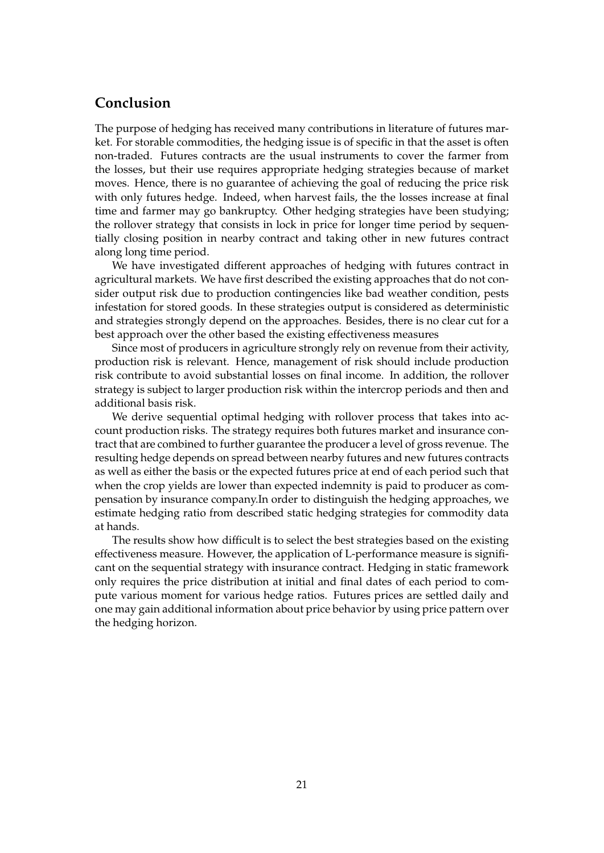## **Conclusion**

The purpose of hedging has received many contributions in literature of futures market. For storable commodities, the hedging issue is of specific in that the asset is often non-traded. Futures contracts are the usual instruments to cover the farmer from the losses, but their use requires appropriate hedging strategies because of market moves. Hence, there is no guarantee of achieving the goal of reducing the price risk with only futures hedge. Indeed, when harvest fails, the the losses increase at final time and farmer may go bankruptcy. Other hedging strategies have been studying; the rollover strategy that consists in lock in price for longer time period by sequentially closing position in nearby contract and taking other in new futures contract along long time period.

We have investigated different approaches of hedging with futures contract in agricultural markets. We have first described the existing approaches that do not consider output risk due to production contingencies like bad weather condition, pests infestation for stored goods. In these strategies output is considered as deterministic and strategies strongly depend on the approaches. Besides, there is no clear cut for a best approach over the other based the existing effectiveness measures

Since most of producers in agriculture strongly rely on revenue from their activity, production risk is relevant. Hence, management of risk should include production risk contribute to avoid substantial losses on final income. In addition, the rollover strategy is subject to larger production risk within the intercrop periods and then and additional basis risk.

We derive sequential optimal hedging with rollover process that takes into account production risks. The strategy requires both futures market and insurance contract that are combined to further guarantee the producer a level of gross revenue. The resulting hedge depends on spread between nearby futures and new futures contracts as well as either the basis or the expected futures price at end of each period such that when the crop yields are lower than expected indemnity is paid to producer as compensation by insurance company.In order to distinguish the hedging approaches, we estimate hedging ratio from described static hedging strategies for commodity data at hands.

The results show how difficult is to select the best strategies based on the existing effectiveness measure. However, the application of L-performance measure is significant on the sequential strategy with insurance contract. Hedging in static framework only requires the price distribution at initial and final dates of each period to compute various moment for various hedge ratios. Futures prices are settled daily and one may gain additional information about price behavior by using price pattern over the hedging horizon.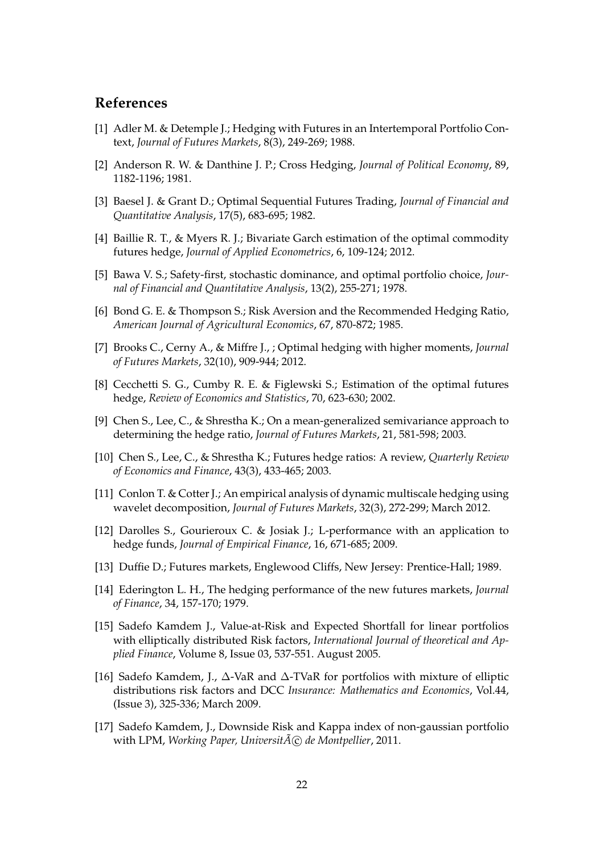# **References**

- [1] Adler M. & Detemple J.; Hedging with Futures in an Intertemporal Portfolio Context, *Journal of Futures Markets*, 8(3), 249-269; 1988.
- [2] Anderson R. W. & Danthine J. P.; Cross Hedging, *Journal of Political Economy*, 89, 1182-1196; 1981.
- [3] Baesel J. & Grant D.; Optimal Sequential Futures Trading, *Journal of Financial and Quantitative Analysis*, 17(5), 683-695; 1982.
- [4] Baillie R. T., & Myers R. J.; Bivariate Garch estimation of the optimal commodity futures hedge, *Journal of Applied Econometrics*, 6, 109-124; 2012.
- [5] Bawa V. S.; Safety-first, stochastic dominance, and optimal portfolio choice, *Journal of Financial and Quantitative Analysis*, 13(2), 255-271; 1978.
- [6] Bond G. E. & Thompson S.; Risk Aversion and the Recommended Hedging Ratio, *American Journal of Agricultural Economics*, 67, 870-872; 1985.
- [7] Brooks C., Cerny A., & Miffre J., ; Optimal hedging with higher moments, *Journal of Futures Markets*, 32(10), 909-944; 2012.
- [8] Cecchetti S. G., Cumby R. E. & Figlewski S.; Estimation of the optimal futures hedge, *Review of Economics and Statistics*, 70, 623-630; 2002.
- [9] Chen S., Lee, C., & Shrestha K.; On a mean-generalized semivariance approach to determining the hedge ratio, *Journal of Futures Markets*, 21, 581-598; 2003.
- [10] Chen S., Lee, C., & Shrestha K.; Futures hedge ratios: A review, *Quarterly Review of Economics and Finance*, 43(3), 433-465; 2003.
- [11] Conlon T. & Cotter J.; An empirical analysis of dynamic multiscale hedging using wavelet decomposition, *Journal of Futures Markets*, 32(3), 272-299; March 2012.
- [12] Darolles S., Gourieroux C. & Josiak J.; L-performance with an application to hedge funds, *Journal of Empirical Finance*, 16, 671-685; 2009.
- [13] Duffie D.; Futures markets, Englewood Cliffs, New Jersey: Prentice-Hall; 1989.
- [14] Ederington L. H., The hedging performance of the new futures markets, *Journal of Finance*, 34, 157-170; 1979.
- [15] Sadefo Kamdem J., Value-at-Risk and Expected Shortfall for linear portfolios with elliptically distributed Risk factors, *International Journal of theoretical and Applied Finance*, Volume 8, Issue 03, 537-551. August 2005.
- [16] Sadefo Kamdem, J., ∆-VaR and ∆-TVaR for portfolios with mixture of elliptic distributions risk factors and DCC *Insurance: Mathematics and Economics*, Vol.44, (Issue 3), 325-336; March 2009.
- [17] Sadefo Kamdem, J., Downside Risk and Kappa index of non-gaussian portfolio with LPM, *Working Paper*, *Universit* $\tilde{A}(\tilde{C})$  *de Montpellier*, 2011.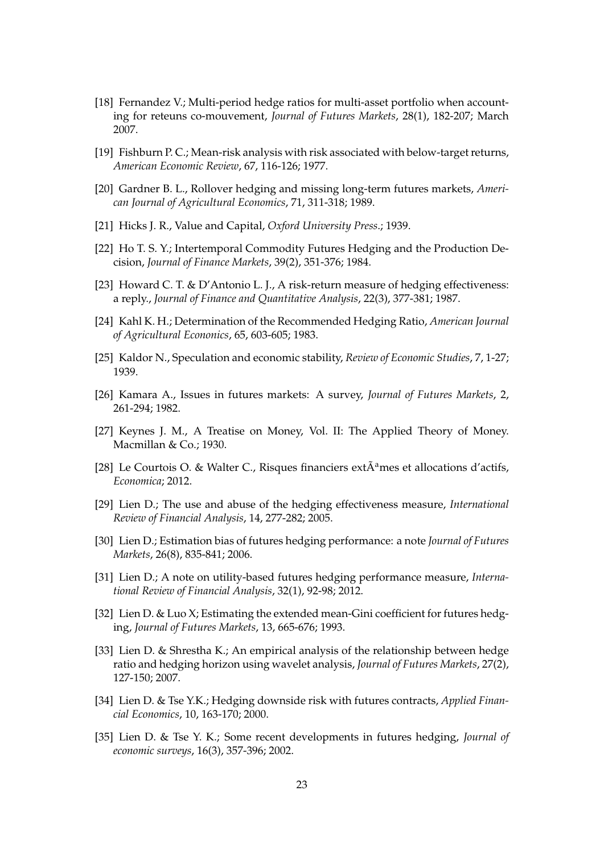- [18] Fernandez V.; Multi-period hedge ratios for multi-asset portfolio when accounting for reteuns co-mouvement, *Journal of Futures Markets*, 28(1), 182-207; March 2007.
- [19] Fishburn P. C.; Mean-risk analysis with risk associated with below-target returns, *American Economic Review*, 67, 116-126; 1977.
- [20] Gardner B. L., Rollover hedging and missing long-term futures markets, *American Journal of Agricultural Economics*, 71, 311-318; 1989.
- [21] Hicks J. R., Value and Capital, *Oxford University Press*.; 1939.
- [22] Ho T. S. Y.; Intertemporal Commodity Futures Hedging and the Production Decision, *Journal of Finance Markets*, 39(2), 351-376; 1984.
- [23] Howard C. T. & D'Antonio L. J., A risk-return measure of hedging effectiveness: a reply., *Journal of Finance and Quantitative Analysis*, 22(3), 377-381; 1987.
- [24] Kahl K. H.; Determination of the Recommended Hedging Ratio, *American Journal of Agricultural Econonics*, 65, 603-605; 1983.
- [25] Kaldor N., Speculation and economic stability, *Review of Economic Studies*, 7, 1-27; 1939.
- [26] Kamara A., Issues in futures markets: A survey, *Journal of Futures Markets*, 2, 261-294; 1982.
- [27] Keynes J. M., A Treatise on Money, Vol. II: The Applied Theory of Money. Macmillan & Co.; 1930.
- [28] Le Courtois O. & Walter C., Risques financiers ext $\tilde{A}^a$ mes et allocations d'actifs, *Economica*; 2012.
- [29] Lien D.; The use and abuse of the hedging effectiveness measure, *International Review of Financial Analysis*, 14, 277-282; 2005.
- [30] Lien D.; Estimation bias of futures hedging performance: a note *Journal of Futures Markets*, 26(8), 835-841; 2006.
- [31] Lien D.; A note on utility-based futures hedging performance measure, *International Review of Financial Analysis*, 32(1), 92-98; 2012.
- [32] Lien D. & Luo X; Estimating the extended mean-Gini coefficient for futures hedging, *Journal of Futures Markets*, 13, 665-676; 1993.
- [33] Lien D. & Shrestha K.; An empirical analysis of the relationship between hedge ratio and hedging horizon using wavelet analysis, *Journal of Futures Markets*, 27(2), 127-150; 2007.
- [34] Lien D. & Tse Y.K.; Hedging downside risk with futures contracts, *Applied Financial Economics*, 10, 163-170; 2000.
- [35] Lien D. & Tse Y. K.; Some recent developments in futures hedging, *Journal of economic surveys*, 16(3), 357-396; 2002.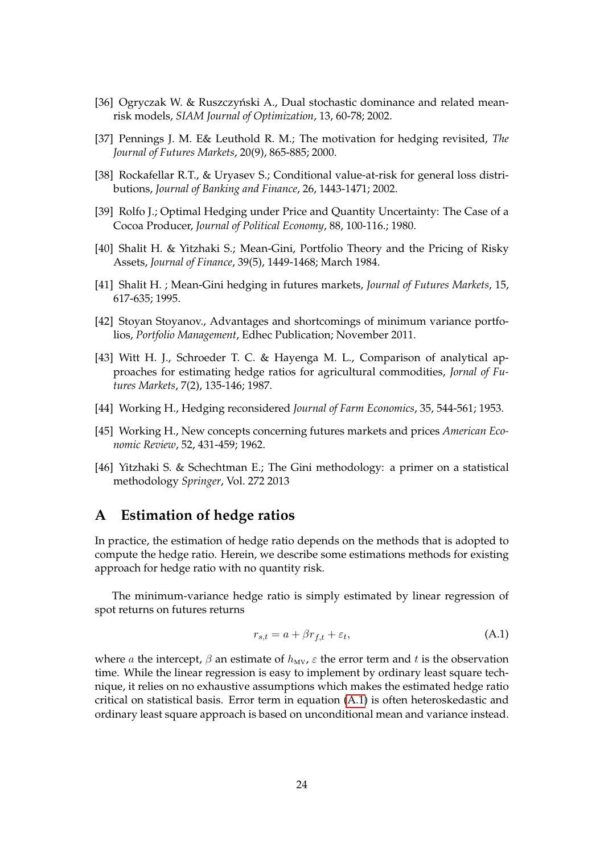- [36] Ogryczak W. & Ruszczyński A., Dual stochastic dominance and related meanrisk models, *SIAM Journal of Optimization*, 13, 60-78; 2002.
- [37] Pennings J. M. E& Leuthold R. M.; The motivation for hedging revisited, *The Journal of Futures Markets*, 20(9), 865-885; 2000.
- [38] Rockafellar R.T., & Uryasev S.; Conditional value-at-risk for general loss distributions, *Journal of Banking and Finance*, 26, 1443-1471; 2002.
- [39] Rolfo J.; Optimal Hedging under Price and Quantity Uncertainty: The Case of a Cocoa Producer, *Journal of Political Economy*, 88, 100-116.; 1980.
- [40] Shalit H. & Yitzhaki S.; Mean-Gini, Portfolio Theory and the Pricing of Risky Assets, *Journal of Finance*, 39(5), 1449-1468; March 1984.
- [41] Shalit H. ; Mean-Gini hedging in futures markets, *Journal of Futures Markets*, 15, 617-635; 1995.
- [42] Stoyan Stoyanov., Advantages and shortcomings of minimum variance portfolios, *Portfolio Management*, Edhec Publication; November 2011.
- [43] Witt H. J., Schroeder T. C. & Hayenga M. L., Comparison of analytical approaches for estimating hedge ratios for agricultural commodities, *Jornal of Futures Markets*, 7(2), 135-146; 1987.
- [44] Working H., Hedging reconsidered *Journal of Farm Economics*, 35, 544-561; 1953.
- [45] Working H., New concepts concerning futures markets and prices *American Economic Review*, 52, 431-459; 1962.
- [46] Yitzhaki S. & Schechtman E.; The Gini methodology: a primer on a statistical methodology *Springer*, Vol. 272 2013

## **A Estimation of hedge ratios**

In practice, the estimation of hedge ratio depends on the methods that is adopted to compute the hedge ratio. Herein, we describe some estimations methods for existing approach for hedge ratio with no quantity risk.

The minimum-variance hedge ratio is simply estimated by linear regression of spot returns on futures returns

$$
r_{s,t} = a + \beta r_{f,t} + \varepsilon_t,\tag{A.1}
$$

where *a* the intercept,  $\beta$  an estimate of  $h_{MV}$ ,  $\varepsilon$  the error term and *t* is the observation time. While the linear regression is easy to implement by ordinary least square technique, it relies on no exhaustive assumptions which makes the estimated hedge ratio critical on statistical basis. Error term in equation (A.1) is often heteroskedastic and ordinary least square approach is based on unconditional mean and variance instead.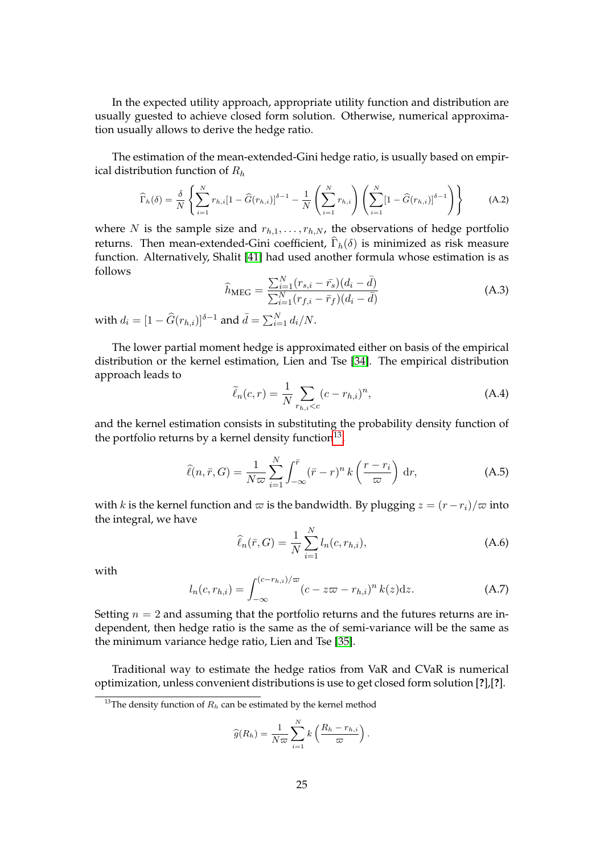In the expected utility approach, appropriate utility function and distribution are usually guested to achieve closed form solution. Otherwise, numerical approximation usually allows to derive the hedge ratio.

The estimation of the mean-extended-Gini hedge ratio, is usually based on empirical distribution function of *R<sup>h</sup>*

$$
\widehat{\Gamma}_{h}(\delta) = \frac{\delta}{N} \left\{ \sum_{i=1}^{N} r_{h,i} [1 - \widehat{G}(r_{h,i})]^{\delta - 1} - \frac{1}{N} \left( \sum_{i=1}^{N} r_{h,i} \right) \left( \sum_{i=1}^{N} [1 - \widehat{G}(r_{h,i})]^{\delta - 1} \right) \right\}
$$
(A.2)

where *N* is the sample size and  $r_{h,1}, \ldots, r_{h,N}$ , the observations of hedge portfolio returns. Then mean-extended-Gini coefficient,  $\Gamma_h(\delta)$  is minimized as risk measure function. Alternatively, Shalit [41] had used another formula whose estimation is as follows

$$
\hat{h}_{\text{MEG}} = \frac{\sum_{i=1}^{N} (r_{s,i} - \bar{r}_s)(d_i - \bar{d})}{\sum_{i=1}^{N} (r_{f,i} - \bar{r}_f)(d_i - \bar{d})}
$$
(A.3)

with  $d_i = [1 - \widehat{G}(r_{h,i})]^{\delta-1}$  and  $\bar{d} = \sum_{i=1}^{N} d_i/N$ .

The lower partial moment hedge is approximated either on basis of the empirical distribution or the kernel estimation, Lien and Tse [34]. The empirical distribution approach leads to

$$
\widetilde{\ell}_n(c,r) = \frac{1}{N} \sum_{r_{h,i} < c} (c - r_{h,i})^n,\tag{A.4}
$$

and the kernel estimation consists in substituting the probability density function of the portfolio returns by a kernel density function $^{13},$ 

$$
\widehat{\ell}(n,\bar{r},G) = \frac{1}{N\varpi} \sum_{i=1}^{N} \int_{-\infty}^{\bar{r}} (\bar{r} - r)^n k\left(\frac{r - r_i}{\varpi}\right) dr,\tag{A.5}
$$

with *k* is the kernel function and  $\varpi$  is the bandwidth. By plugging  $z = (r - r_i)/\varpi$  into the integral, we have

$$
\hat{\ell}_n(\bar{r}, G) = \frac{1}{N} \sum_{i=1}^{N} l_n(c, r_{h,i}),
$$
\n(A.6)

with

$$
l_n(c, r_{h,i}) = \int_{-\infty}^{(c-r_{h,i})/\varpi} (c - z\varpi - r_{h,i})^n k(z) dz.
$$
 (A.7)

Setting  $n = 2$  and assuming that the portfolio returns and the futures returns are independent, then hedge ratio is the same as the of semi-variance will be the same as the minimum variance hedge ratio, Lien and Tse [35].

Traditional way to estimate the hedge ratios from VaR and CVaR is numerical optimization, unless convenient distributions is use to get closed form solution [**?**],[**?**].

$$
\widehat{g}(R_h) = \frac{1}{N\varpi} \sum_{i=1}^N k\left(\frac{R_h - r_{h,i}}{\varpi}\right).
$$

<sup>&</sup>lt;sup>13</sup>The density function of  $R_h$  can be estimated by the kernel method